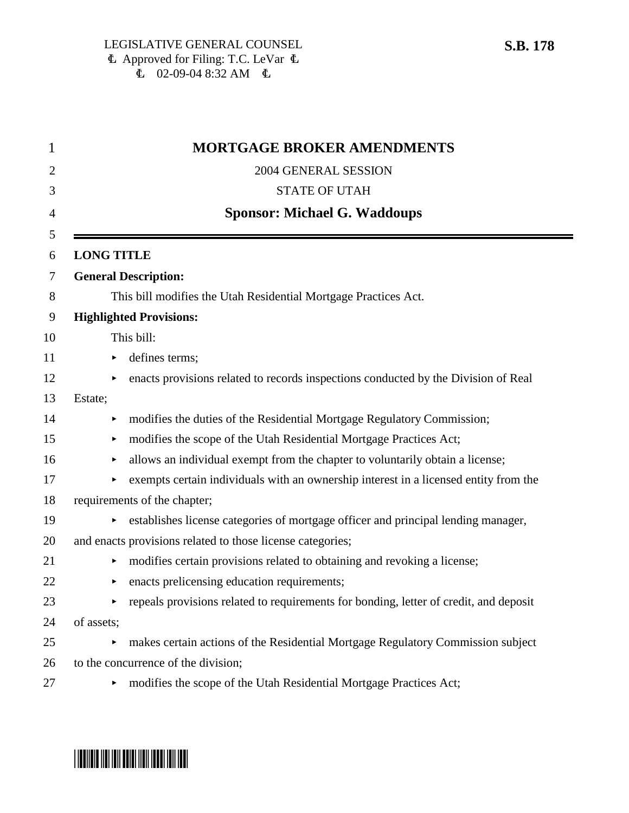|                   | <b>MORTGAGE BROKER AMENDMENTS</b>                                                     |
|-------------------|---------------------------------------------------------------------------------------|
|                   | 2004 GENERAL SESSION                                                                  |
|                   | <b>STATE OF UTAH</b>                                                                  |
|                   | <b>Sponsor: Michael G. Waddoups</b>                                                   |
| <b>LONG TITLE</b> |                                                                                       |
|                   | <b>General Description:</b>                                                           |
|                   | This bill modifies the Utah Residential Mortgage Practices Act.                       |
|                   | <b>Highlighted Provisions:</b>                                                        |
|                   | This bill:                                                                            |
| Þ.                | defines terms;                                                                        |
|                   | enacts provisions related to records inspections conducted by the Division of Real    |
| Estate;           |                                                                                       |
|                   | modifies the duties of the Residential Mortgage Regulatory Commission;                |
| ▶                 | modifies the scope of the Utah Residential Mortgage Practices Act;                    |
| ▶                 | allows an individual exempt from the chapter to voluntarily obtain a license;         |
|                   | exempts certain individuals with an ownership interest in a licensed entity from the  |
|                   | requirements of the chapter;                                                          |
|                   | establishes license categories of mortgage officer and principal lending manager,     |
|                   | and enacts provisions related to those license categories;                            |
| ▶.                | modifies certain provisions related to obtaining and revoking a license;              |
|                   | enacts prelicensing education requirements;                                           |
|                   | repeals provisions related to requirements for bonding, letter of credit, and deposit |
| of assets;        |                                                                                       |
| ▶                 | makes certain actions of the Residential Mortgage Regulatory Commission subject       |
|                   | to the concurrence of the division;                                                   |
| ►                 | modifies the scope of the Utah Residential Mortgage Practices Act;                    |

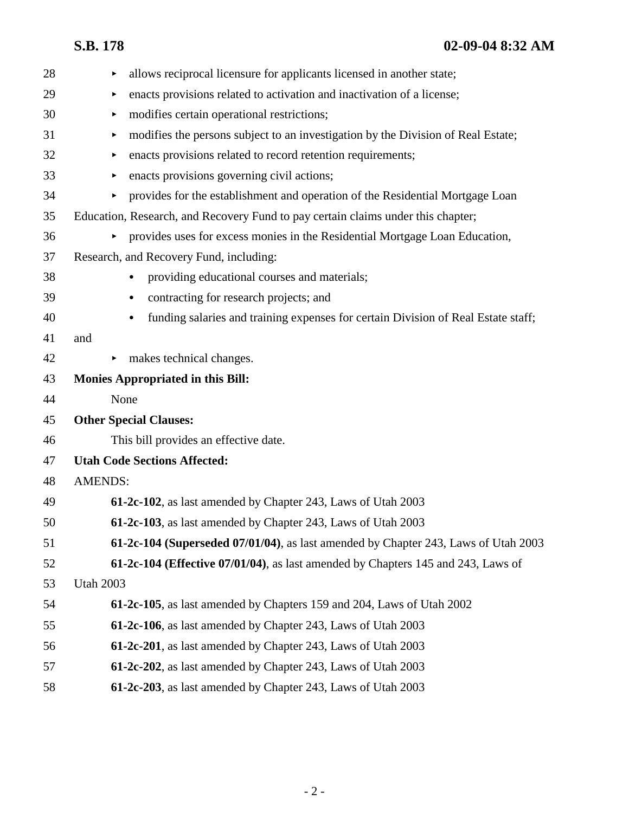| allows reciprocal licensure for applicants licensed in another state;<br>▶            |
|---------------------------------------------------------------------------------------|
| enacts provisions related to activation and inactivation of a license;<br>▶           |
| modifies certain operational restrictions;<br>▶                                       |
| modifies the persons subject to an investigation by the Division of Real Estate;<br>▶ |
| enacts provisions related to record retention requirements;<br>▶                      |
| enacts provisions governing civil actions;<br>▶                                       |
| provides for the establishment and operation of the Residential Mortgage Loan<br>▶    |
| Education, Research, and Recovery Fund to pay certain claims under this chapter;      |
| provides uses for excess monies in the Residential Mortgage Loan Education,<br>►      |
| Research, and Recovery Fund, including:                                               |
| providing educational courses and materials;                                          |
| contracting for research projects; and<br>٠                                           |
| funding salaries and training expenses for certain Division of Real Estate staff;     |
| and                                                                                   |
| makes technical changes.<br>▶                                                         |
| <b>Monies Appropriated in this Bill:</b>                                              |
| None                                                                                  |
| <b>Other Special Clauses:</b>                                                         |
| This bill provides an effective date.                                                 |
| <b>Utah Code Sections Affected:</b>                                                   |
| <b>AMENDS:</b>                                                                        |
| 61-2c-102, as last amended by Chapter 243, Laws of Utah 2003                          |
| 61-2c-103, as last amended by Chapter 243, Laws of Utah 2003                          |
| 61-2c-104 (Superseded 07/01/04), as last amended by Chapter 243, Laws of Utah 2003    |
| 61-2c-104 (Effective 07/01/04), as last amended by Chapters 145 and 243, Laws of      |
| <b>Utah 2003</b>                                                                      |
| <b>61-2c-105</b> , as last amended by Chapters 159 and 204, Laws of Utah 2002         |
| 61-2c-106, as last amended by Chapter 243, Laws of Utah 2003                          |
|                                                                                       |
| 61-2c-201, as last amended by Chapter 243, Laws of Utah 2003                          |
| <b>61-2c-202</b> , as last amended by Chapter 243, Laws of Utah 2003                  |
|                                                                                       |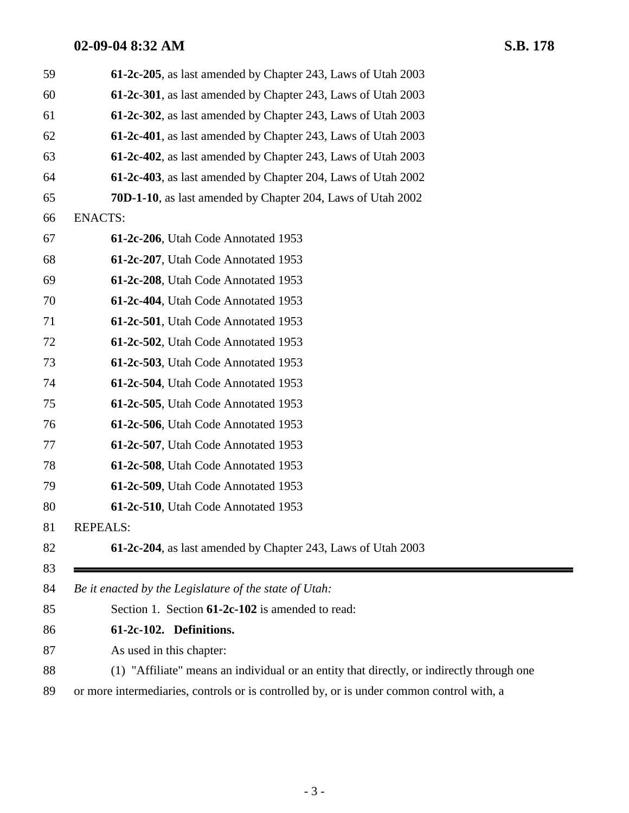| 59 | 61-2c-205, as last amended by Chapter 243, Laws of Utah 2003                              |
|----|-------------------------------------------------------------------------------------------|
| 60 | 61-2c-301, as last amended by Chapter 243, Laws of Utah 2003                              |
| 61 | 61-2c-302, as last amended by Chapter 243, Laws of Utah 2003                              |
| 62 | 61-2c-401, as last amended by Chapter 243, Laws of Utah 2003                              |
| 63 | 61-2c-402, as last amended by Chapter 243, Laws of Utah 2003                              |
| 64 | 61-2c-403, as last amended by Chapter 204, Laws of Utah 2002                              |
| 65 | <b>70D-1-10</b> , as last amended by Chapter 204, Laws of Utah 2002                       |
| 66 | <b>ENACTS:</b>                                                                            |
| 67 | 61-2c-206, Utah Code Annotated 1953                                                       |
| 68 | 61-2c-207, Utah Code Annotated 1953                                                       |
| 69 | 61-2c-208, Utah Code Annotated 1953                                                       |
| 70 | 61-2c-404, Utah Code Annotated 1953                                                       |
| 71 | 61-2c-501, Utah Code Annotated 1953                                                       |
| 72 | 61-2c-502, Utah Code Annotated 1953                                                       |
| 73 | 61-2c-503, Utah Code Annotated 1953                                                       |
| 74 | 61-2c-504, Utah Code Annotated 1953                                                       |
| 75 | 61-2c-505, Utah Code Annotated 1953                                                       |
| 76 | 61-2c-506, Utah Code Annotated 1953                                                       |
| 77 | 61-2c-507, Utah Code Annotated 1953                                                       |
| 78 | 61-2c-508, Utah Code Annotated 1953                                                       |
| 79 | 61-2c-509, Utah Code Annotated 1953                                                       |
| 80 | 61-2c-510, Utah Code Annotated 1953                                                       |
| 81 | <b>REPEALS:</b>                                                                           |
| 82 | 61-2c-204, as last amended by Chapter 243, Laws of Utah 2003                              |
| 83 |                                                                                           |
| 84 | Be it enacted by the Legislature of the state of Utah:                                    |
| 85 | Section 1. Section 61-2c-102 is amended to read:                                          |
| 86 | 61-2c-102. Definitions.                                                                   |
| 87 | As used in this chapter:                                                                  |
| 88 | (1) "Affiliate" means an individual or an entity that directly, or indirectly through one |
| 89 | or more intermediaries, controls or is controlled by, or is under common control with, a  |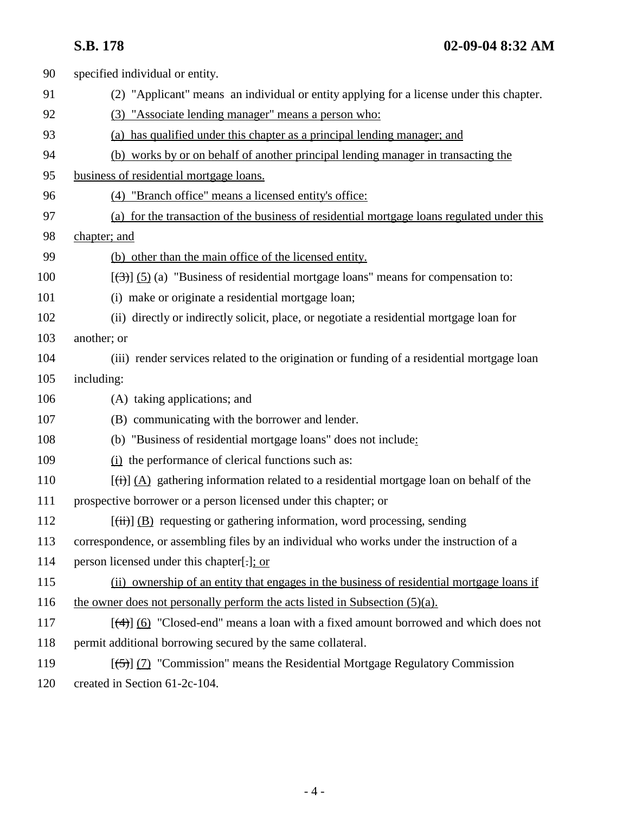| 90  | specified individual or entity.                                                               |
|-----|-----------------------------------------------------------------------------------------------|
| 91  | (2) "Applicant" means an individual or entity applying for a license under this chapter.      |
| 92  | (3) "Associate lending manager" means a person who:                                           |
| 93  | (a) has qualified under this chapter as a principal lending manager; and                      |
| 94  | (b) works by or on behalf of another principal lending manager in transacting the             |
| 95  | business of residential mortgage loans.                                                       |
| 96  | (4) "Branch office" means a licensed entity's office:                                         |
| 97  | (a) for the transaction of the business of residential mortgage loans regulated under this    |
| 98  | chapter; and                                                                                  |
| 99  | (b) other than the main office of the licensed entity.                                        |
| 100 | $[\frac{1}{2}]$ (5) (a) "Business of residential mortgage loans" means for compensation to:   |
| 101 | (i) make or originate a residential mortgage loan;                                            |
| 102 | (ii) directly or indirectly solicit, place, or negotiate a residential mortgage loan for      |
| 103 | another; or                                                                                   |
| 104 | (iii) render services related to the origination or funding of a residential mortgage loan    |
| 105 | including:                                                                                    |
| 106 | (A) taking applications; and                                                                  |
| 107 | (B) communicating with the borrower and lender.                                               |
| 108 | (b) "Business of residential mortgage loans" does not include:                                |
| 109 | (i) the performance of clerical functions such as:                                            |
| 110 | $[\vec{t}]$ (A) gathering information related to a residential mortgage loan on behalf of the |
| 111 | prospective borrower or a person licensed under this chapter; or                              |
| 112 | $[\overrightarrow{t})$ (B) requesting or gathering information, word processing, sending      |
| 113 | correspondence, or assembling files by an individual who works under the instruction of a     |
| 114 | person licensed under this chapter[.]; or                                                     |
| 115 | (ii) ownership of an entity that engages in the business of residential mortgage loans if     |
| 116 | the owner does not personally perform the acts listed in Subsection $(5)(a)$ .                |
| 117 | $[\frac{4}{3}]$ (6) "Closed-end" means a loan with a fixed amount borrowed and which does not |
| 118 | permit additional borrowing secured by the same collateral.                                   |
| 119 | $[\frac{5}{2}]$ (7) "Commission" means the Residential Mortgage Regulatory Commission         |
| 120 | created in Section 61-2c-104.                                                                 |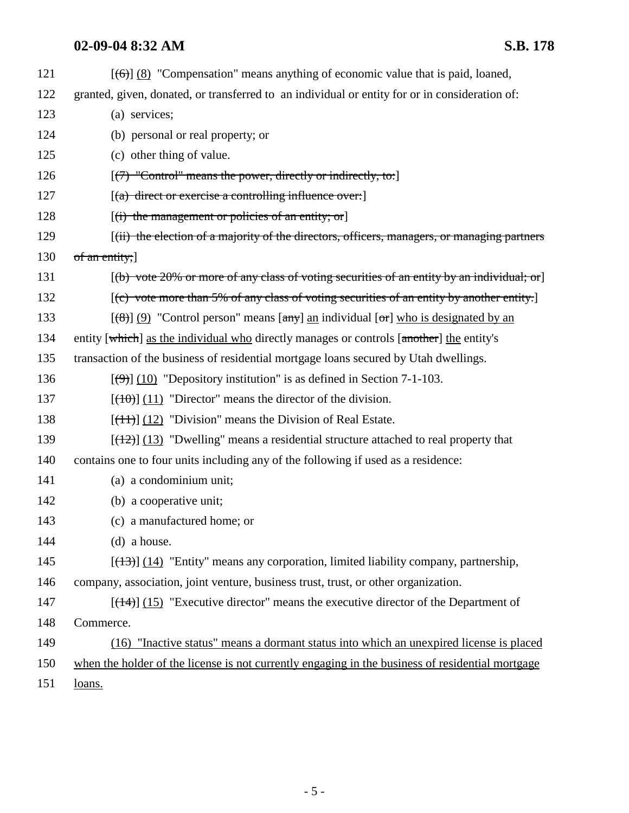121  $[(6)] (8)$  "Compensation" means anything of economic value that is paid, loaned, 122 granted, given, donated, or transferred to an individual or entity for or in consideration of: 123 (a) services; 124 (b) personal or real property; or 125 (c) other thing of value. 126  $[(7)$  "Control" means the power, directly or indirectly, to: 127 *(a) direct or exercise a controlling influence over:***]** 128  $[(i)$  the management or policies of an entity; or 129 [(ii) the election of a majority of the directors, officers, managers, or managing partners 130 of an entity; 131 [(b) vote 20% or more of any class of voting securities of an entity by an individual; or 132 [(c) vote more than 5% of any class of voting securities of an entity by another entity. 133  $[(8)] (9)$  "Control person" means  $[\text{any}]$  an individual  $[\text{or}]$  who is designated by an 134 entity [which] as the individual who directly manages or controls [another] the entity's 135 transaction of the business of residential mortgage loans secured by Utah dwellings. 136  $\left[\left(\frac{\theta}{2}\right)\right]$  (10) "Depository institution" is as defined in Section 7-1-103. 137  $[(10)(11)]$  "Director" means the director of the division. 138  $[(11)(12)$  "Division" means the Division of Real Estate. 139  $[(12)] (13)$  "Dwelling" means a residential structure attached to real property that 140 contains one to four units including any of the following if used as a residence: 141 (a) a condominium unit; 142 (b) a cooperative unit; 143 (c) a manufactured home; or 144 (d) a house. 145 [(13)] (14) "Entity" means any corporation, limited liability company, partnership, 146 company, association, joint venture, business trust, trust, or other organization. 147  $[(14)]$  (15) "Executive director" means the executive director of the Department of 148 Commerce. 149 (16) "Inactive status" means a dormant status into which an unexpired license is placed 150 when the holder of the license is not currently engaging in the business of residential mortgage 151 loans.

- 5 -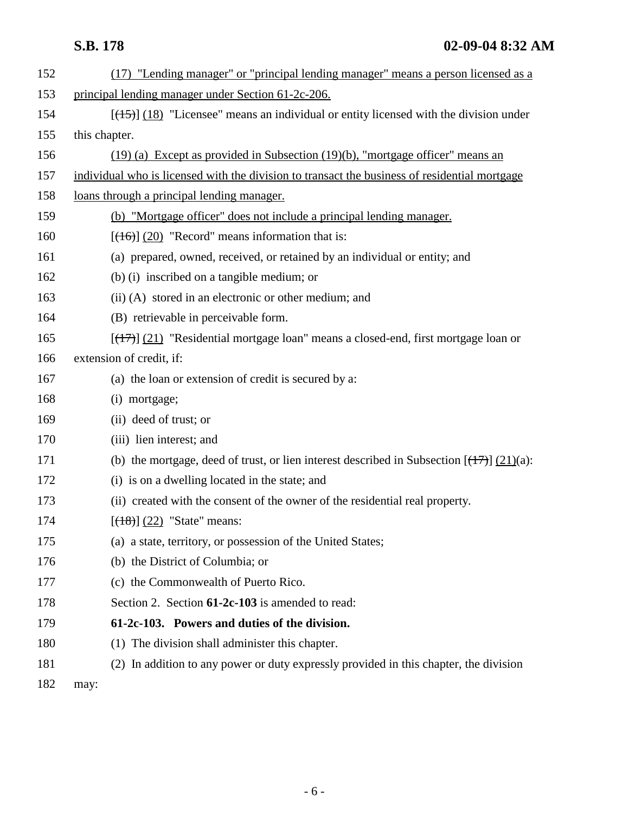| 152 | (17) "Lending manager" or "principal lending manager" means a person licensed as a            |
|-----|-----------------------------------------------------------------------------------------------|
| 153 | principal lending manager under Section 61-2c-206.                                            |
| 154 | $[ (15) ] (18)$ "Licensee" means an individual or entity licensed with the division under     |
| 155 | this chapter.                                                                                 |
| 156 | $(19)$ (a) Except as provided in Subsection $(19)(b)$ , "mortgage officer" means an           |
| 157 | individual who is licensed with the division to transact the business of residential mortgage |
| 158 | loans through a principal lending manager.                                                    |
| 159 | (b) "Mortgage officer" does not include a principal lending manager.                          |
| 160 | $[ (16) ] (20)$ "Record" means information that is:                                           |
| 161 | (a) prepared, owned, received, or retained by an individual or entity; and                    |
| 162 | (b) (i) inscribed on a tangible medium; or                                                    |
| 163 | (ii) (A) stored in an electronic or other medium; and                                         |
| 164 | (B) retrievable in perceivable form.                                                          |
| 165 | [(17)] (21) "Residential mortgage loan" means a closed-end, first mortgage loan or            |
| 166 | extension of credit, if:                                                                      |
| 167 | (a) the loan or extension of credit is secured by a:                                          |
| 168 | (i) mortgage;                                                                                 |
| 169 | (ii) deed of trust; or                                                                        |
| 170 | (iii) lien interest; and                                                                      |
| 171 | (b) the mortgage, deed of trust, or lien interest described in Subsection $[(17)$ $(21)(a)$ : |
| 172 | (i) is on a dwelling located in the state; and                                                |
| 173 | (ii) created with the consent of the owner of the residential real property.                  |
| 174 | $[ (18) ] (22)$ "State" means:                                                                |
| 175 | (a) a state, territory, or possession of the United States;                                   |
| 176 | (b) the District of Columbia; or                                                              |
| 177 | (c) the Commonwealth of Puerto Rico.                                                          |
| 178 | Section 2. Section 61-2c-103 is amended to read:                                              |
| 179 | 61-2c-103. Powers and duties of the division.                                                 |
| 180 | (1) The division shall administer this chapter.                                               |
| 181 | (2) In addition to any power or duty expressly provided in this chapter, the division         |
| 182 | may:                                                                                          |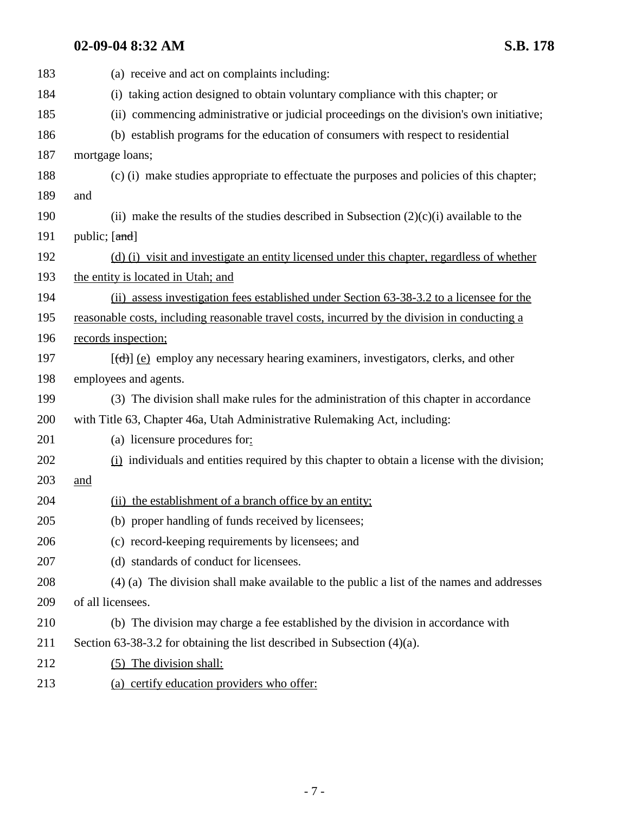| 183 | (a) receive and act on complaints including:                                                       |
|-----|----------------------------------------------------------------------------------------------------|
| 184 | (i) taking action designed to obtain voluntary compliance with this chapter; or                    |
| 185 | (ii) commencing administrative or judicial proceedings on the division's own initiative;           |
| 186 | (b) establish programs for the education of consumers with respect to residential                  |
| 187 | mortgage loans;                                                                                    |
| 188 | (c) (i) make studies appropriate to effectuate the purposes and policies of this chapter;          |
| 189 | and                                                                                                |
| 190 | (ii) make the results of the studies described in Subsection $(2)(c)(i)$ available to the          |
| 191 | public; $[\text{and}]$                                                                             |
| 192 | (d) (i) visit and investigate an entity licensed under this chapter, regardless of whether         |
| 193 | the entity is located in Utah; and                                                                 |
| 194 | (ii) assess investigation fees established under Section 63-38-3.2 to a licensee for the           |
| 195 | reasonable costs, including reasonable travel costs, incurred by the division in conducting a      |
| 196 | records inspection;                                                                                |
| 197 | $[\text{(\text{d})}]$ (e) employ any necessary hearing examiners, investigators, clerks, and other |
| 198 | employees and agents.                                                                              |
| 199 | (3) The division shall make rules for the administration of this chapter in accordance             |
| 200 | with Title 63, Chapter 46a, Utah Administrative Rulemaking Act, including:                         |
| 201 | (a) licensure procedures for:                                                                      |
| 202 | (i) individuals and entities required by this chapter to obtain a license with the division;       |
| 203 | <u>and</u>                                                                                         |
| 204 | (ii) the establishment of a branch office by an entity;                                            |
| 205 | (b) proper handling of funds received by licensees;                                                |
| 206 | (c) record-keeping requirements by licensees; and                                                  |
| 207 | (d) standards of conduct for licensees.                                                            |
| 208 | (4) (a) The division shall make available to the public a list of the names and addresses          |
| 209 | of all licensees.                                                                                  |
| 210 | (b) The division may charge a fee established by the division in accordance with                   |
| 211 | Section 63-38-3.2 for obtaining the list described in Subsection $(4)(a)$ .                        |
| 212 | (5) The division shall:                                                                            |
| 213 | (a) certify education providers who offer:                                                         |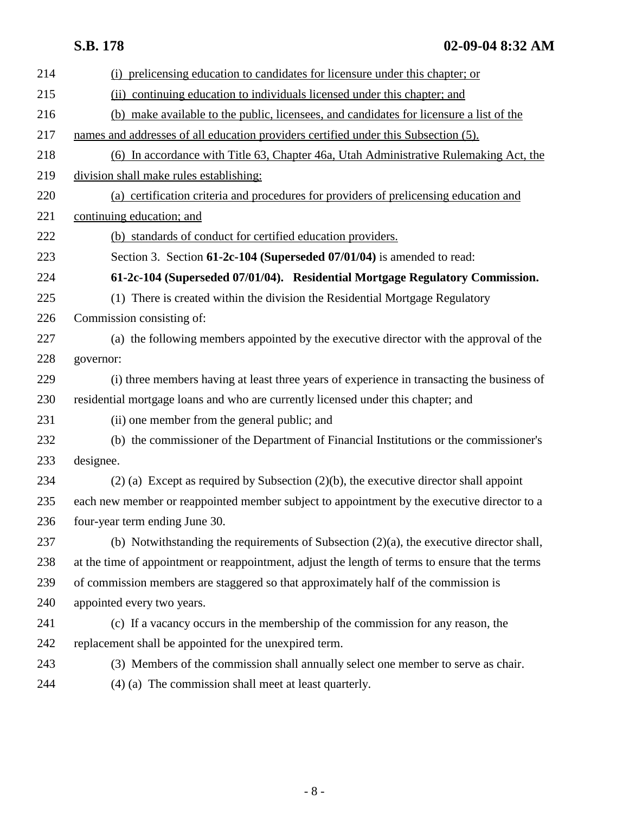| 214 | (i) prelicensing education to candidates for licensure under this chapter; or                    |
|-----|--------------------------------------------------------------------------------------------------|
| 215 | (ii) continuing education to individuals licensed under this chapter; and                        |
| 216 | (b) make available to the public, licensees, and candidates for licensure a list of the          |
| 217 | names and addresses of all education providers certified under this Subsection (5).              |
| 218 | (6) In accordance with Title 63, Chapter 46a, Utah Administrative Rulemaking Act, the            |
| 219 | division shall make rules establishing:                                                          |
| 220 | (a) certification criteria and procedures for providers of prelicensing education and            |
| 221 | continuing education; and                                                                        |
| 222 | (b) standards of conduct for certified education providers.                                      |
| 223 | Section 3. Section 61-2c-104 (Superseded 07/01/04) is amended to read:                           |
| 224 | 61-2c-104 (Superseded 07/01/04). Residential Mortgage Regulatory Commission.                     |
| 225 | (1) There is created within the division the Residential Mortgage Regulatory                     |
| 226 | Commission consisting of:                                                                        |
| 227 | (a) the following members appointed by the executive director with the approval of the           |
| 228 | governor:                                                                                        |
| 229 | (i) three members having at least three years of experience in transacting the business of       |
| 230 | residential mortgage loans and who are currently licensed under this chapter; and                |
| 231 | (ii) one member from the general public; and                                                     |
| 232 | (b) the commissioner of the Department of Financial Institutions or the commissioner's           |
| 233 | designee.                                                                                        |
| 234 | $(2)$ (a) Except as required by Subsection $(2)(b)$ , the executive director shall appoint       |
| 235 | each new member or reappointed member subject to appointment by the executive director to a      |
| 236 | four-year term ending June 30.                                                                   |
| 237 | (b) Notwithstanding the requirements of Subsection $(2)(a)$ , the executive director shall,      |
| 238 | at the time of appointment or reappointment, adjust the length of terms to ensure that the terms |
| 239 | of commission members are staggered so that approximately half of the commission is              |
| 240 | appointed every two years.                                                                       |
| 241 | (c) If a vacancy occurs in the membership of the commission for any reason, the                  |
| 242 | replacement shall be appointed for the unexpired term.                                           |
| 243 | (3) Members of the commission shall annually select one member to serve as chair.                |
| 244 | (4) (a) The commission shall meet at least quarterly.                                            |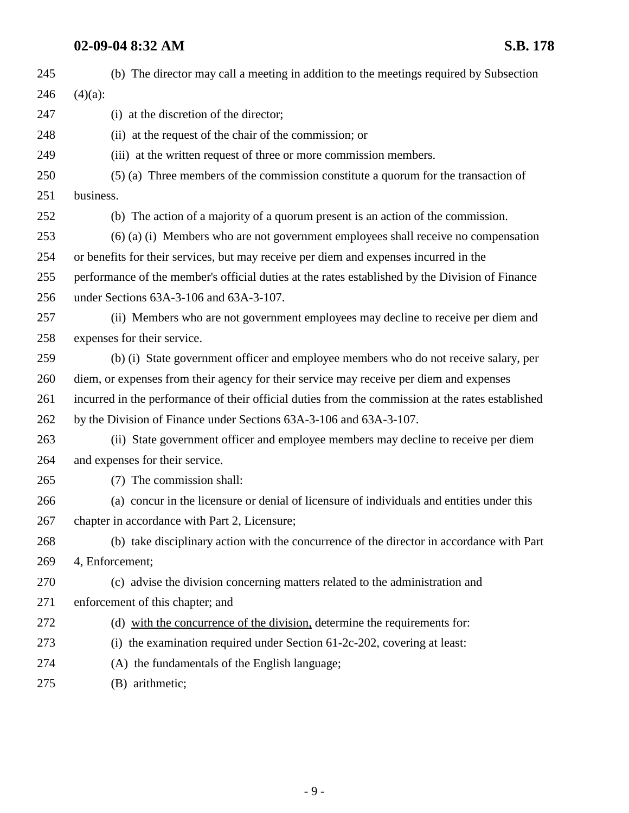| 245 | (b) The director may call a meeting in addition to the meetings required by Subsection            |
|-----|---------------------------------------------------------------------------------------------------|
| 246 | $(4)(a)$ :                                                                                        |
| 247 | (i) at the discretion of the director;                                                            |
| 248 | (ii) at the request of the chair of the commission; or                                            |
| 249 | (iii) at the written request of three or more commission members.                                 |
| 250 | (5) (a) Three members of the commission constitute a quorum for the transaction of                |
| 251 | business.                                                                                         |
| 252 | (b) The action of a majority of a quorum present is an action of the commission.                  |
| 253 | $(6)$ (a) (i) Members who are not government employees shall receive no compensation              |
| 254 | or benefits for their services, but may receive per diem and expenses incurred in the             |
| 255 | performance of the member's official duties at the rates established by the Division of Finance   |
| 256 | under Sections 63A-3-106 and 63A-3-107.                                                           |
| 257 | (ii) Members who are not government employees may decline to receive per diem and                 |
| 258 | expenses for their service.                                                                       |
| 259 | (b) (i) State government officer and employee members who do not receive salary, per              |
| 260 | diem, or expenses from their agency for their service may receive per diem and expenses           |
| 261 | incurred in the performance of their official duties from the commission at the rates established |
| 262 | by the Division of Finance under Sections 63A-3-106 and 63A-3-107.                                |
| 263 | (ii) State government officer and employee members may decline to receive per diem                |
| 264 | and expenses for their service.                                                                   |
| 265 | (7) The commission shall:                                                                         |
| 266 | (a) concur in the licensure or denial of licensure of individuals and entities under this         |
| 267 | chapter in accordance with Part 2, Licensure;                                                     |
| 268 | (b) take disciplinary action with the concurrence of the director in accordance with Part         |
| 269 | 4, Enforcement;                                                                                   |
| 270 | (c) advise the division concerning matters related to the administration and                      |
| 271 | enforcement of this chapter; and                                                                  |
| 272 | (d) with the concurrence of the division, determine the requirements for:                         |
| 273 | (i) the examination required under Section $61-2c-202$ , covering at least:                       |
| 274 | (A) the fundamentals of the English language;                                                     |
| 275 | (B) arithmetic;                                                                                   |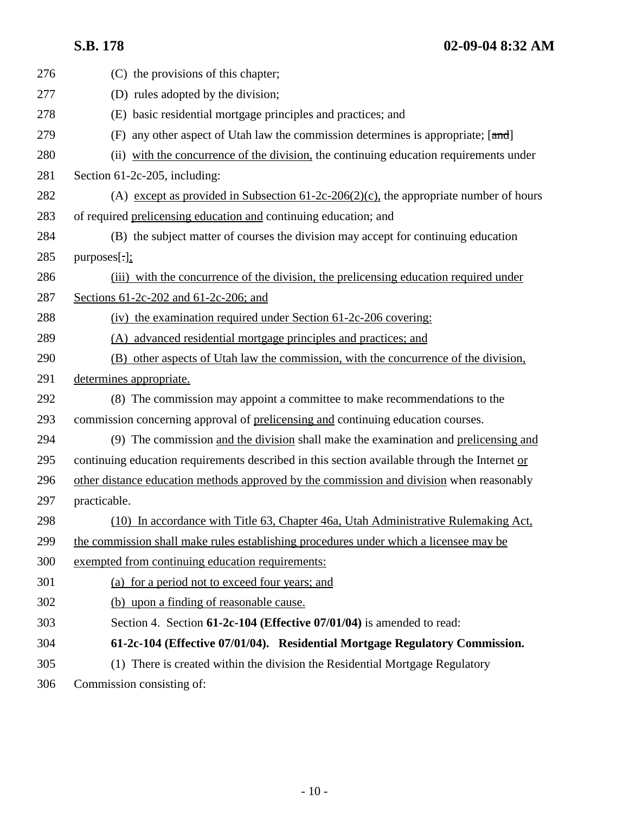| 276 | (C) the provisions of this chapter;                                                           |
|-----|-----------------------------------------------------------------------------------------------|
| 277 | (D) rules adopted by the division;                                                            |
| 278 | (E) basic residential mortgage principles and practices; and                                  |
| 279 | any other aspect of Utah law the commission determines is appropriate; [and]<br>(F)           |
| 280 | (ii) with the concurrence of the division, the continuing education requirements under        |
| 281 | Section 61-2c-205, including:                                                                 |
| 282 | (A) except as provided in Subsection $61-2c-206(2)(c)$ , the appropriate number of hours      |
| 283 | of required prelicensing education and continuing education; and                              |
| 284 | (B) the subject matter of courses the division may accept for continuing education            |
| 285 | $purposes$ [.];                                                                               |
| 286 | (iii) with the concurrence of the division, the prelicensing education required under         |
| 287 | Sections $61-2c-202$ and $61-2c-206$ ; and                                                    |
| 288 | (iv) the examination required under Section 61-2c-206 covering:                               |
| 289 | (A) advanced residential mortgage principles and practices; and                               |
| 290 | (B) other aspects of Utah law the commission, with the concurrence of the division,           |
| 291 | determines appropriate.                                                                       |
| 292 | (8) The commission may appoint a committee to make recommendations to the                     |
| 293 | commission concerning approval of prelicensing and continuing education courses.              |
| 294 | (9) The commission and the division shall make the examination and prelicensing and           |
| 295 | continuing education requirements described in this section available through the Internet or |
| 296 | other distance education methods approved by the commission and division when reasonably      |
| 297 | practicable.                                                                                  |
| 298 | (10) In accordance with Title 63, Chapter 46a, Utah Administrative Rulemaking Act,            |
| 299 | the commission shall make rules establishing procedures under which a licensee may be         |
| 300 | exempted from continuing education requirements:                                              |
| 301 | (a) for a period not to exceed four years; and                                                |
| 302 | (b) upon a finding of reasonable cause.                                                       |
| 303 | Section 4. Section 61-2c-104 (Effective 07/01/04) is amended to read:                         |
| 304 | 61-2c-104 (Effective 07/01/04). Residential Mortgage Regulatory Commission.                   |
| 305 | (1) There is created within the division the Residential Mortgage Regulatory                  |
| 306 | Commission consisting of:                                                                     |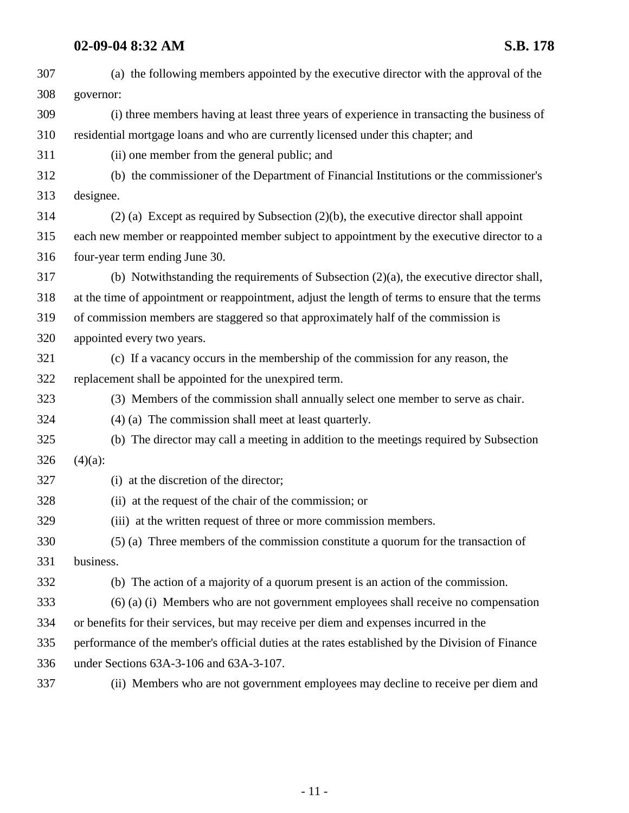| 307 | (a) the following members appointed by the executive director with the approval of the           |
|-----|--------------------------------------------------------------------------------------------------|
| 308 | governor:                                                                                        |
| 309 | (i) three members having at least three years of experience in transacting the business of       |
| 310 | residential mortgage loans and who are currently licensed under this chapter; and                |
| 311 | (ii) one member from the general public; and                                                     |
| 312 | (b) the commissioner of the Department of Financial Institutions or the commissioner's           |
| 313 | designee.                                                                                        |
| 314 | $(2)$ (a) Except as required by Subsection $(2)(b)$ , the executive director shall appoint       |
| 315 | each new member or reappointed member subject to appointment by the executive director to a      |
| 316 | four-year term ending June 30.                                                                   |
| 317 | (b) Notwithstanding the requirements of Subsection $(2)(a)$ , the executive director shall,      |
| 318 | at the time of appointment or reappointment, adjust the length of terms to ensure that the terms |
| 319 | of commission members are staggered so that approximately half of the commission is              |
| 320 | appointed every two years.                                                                       |
| 321 | (c) If a vacancy occurs in the membership of the commission for any reason, the                  |
| 322 | replacement shall be appointed for the unexpired term.                                           |
| 323 | (3) Members of the commission shall annually select one member to serve as chair.                |
| 324 | (4) (a) The commission shall meet at least quarterly.                                            |
| 325 | (b) The director may call a meeting in addition to the meetings required by Subsection           |
| 326 | $(4)(a)$ :                                                                                       |
| 327 | (i) at the discretion of the director;                                                           |
| 328 | (ii) at the request of the chair of the commission; or                                           |
| 329 | (iii) at the written request of three or more commission members.                                |
| 330 | (5) (a) Three members of the commission constitute a quorum for the transaction of               |
| 331 | business.                                                                                        |
| 332 | (b) The action of a majority of a quorum present is an action of the commission.                 |
| 333 | $(6)$ (a) (i) Members who are not government employees shall receive no compensation             |
| 334 | or benefits for their services, but may receive per diem and expenses incurred in the            |
| 335 | performance of the member's official duties at the rates established by the Division of Finance  |
| 336 | under Sections 63A-3-106 and 63A-3-107.                                                          |
| 337 | (ii) Members who are not government employees may decline to receive per diem and                |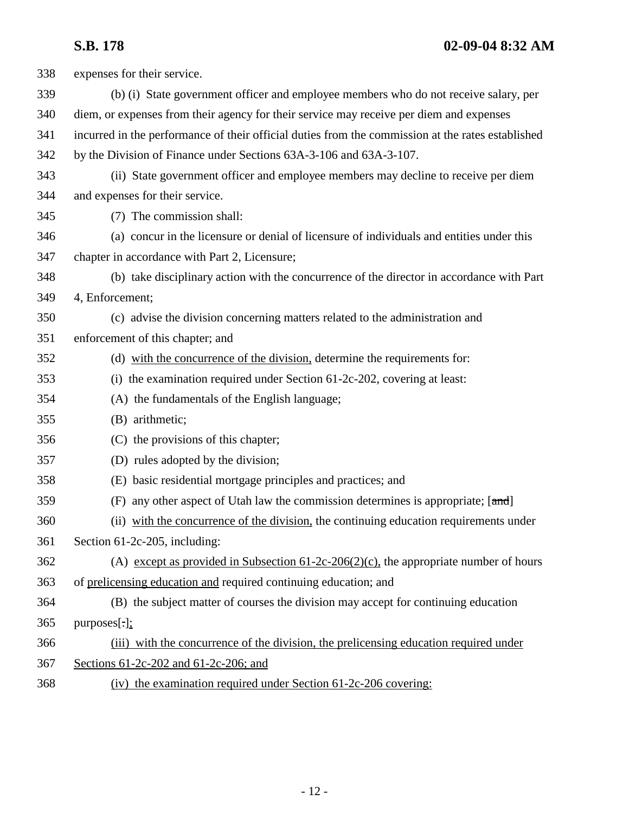| 338 | expenses for their service.                                                                       |
|-----|---------------------------------------------------------------------------------------------------|
| 339 | (b) (i) State government officer and employee members who do not receive salary, per              |
| 340 | diem, or expenses from their agency for their service may receive per diem and expenses           |
| 341 | incurred in the performance of their official duties from the commission at the rates established |
| 342 | by the Division of Finance under Sections 63A-3-106 and 63A-3-107.                                |
| 343 | (ii) State government officer and employee members may decline to receive per diem                |
| 344 | and expenses for their service.                                                                   |
| 345 | (7) The commission shall:                                                                         |
| 346 | (a) concur in the licensure or denial of licensure of individuals and entities under this         |
| 347 | chapter in accordance with Part 2, Licensure;                                                     |
| 348 | (b) take disciplinary action with the concurrence of the director in accordance with Part         |
| 349 | 4, Enforcement;                                                                                   |
| 350 | (c) advise the division concerning matters related to the administration and                      |
| 351 | enforcement of this chapter; and                                                                  |
| 352 | (d) with the concurrence of the division, determine the requirements for:                         |
| 353 | (i) the examination required under Section $61-2c-202$ , covering at least:                       |
| 354 | (A) the fundamentals of the English language;                                                     |
| 355 | (B) arithmetic;                                                                                   |
| 356 | (C) the provisions of this chapter;                                                               |
| 357 | (D) rules adopted by the division;                                                                |
| 358 | (E) basic residential mortgage principles and practices; and                                      |
| 359 | (F) any other aspect of Utah law the commission determines is appropriate; [and]                  |
| 360 | (ii) with the concurrence of the division, the continuing education requirements under            |
| 361 | Section 61-2c-205, including:                                                                     |
| 362 | (A) except as provided in Subsection $61-2c-206(2)(c)$ , the appropriate number of hours          |
| 363 | of prelicensing education and required continuing education; and                                  |
| 364 | (B) the subject matter of courses the division may accept for continuing education                |
| 365 | $purpose[\cdot]$ ;                                                                                |
| 366 | (iii) with the concurrence of the division, the prelicensing education required under             |
| 367 | Sections 61-2c-202 and 61-2c-206; and                                                             |
| 368 | (iv) the examination required under Section 61-2c-206 covering:                                   |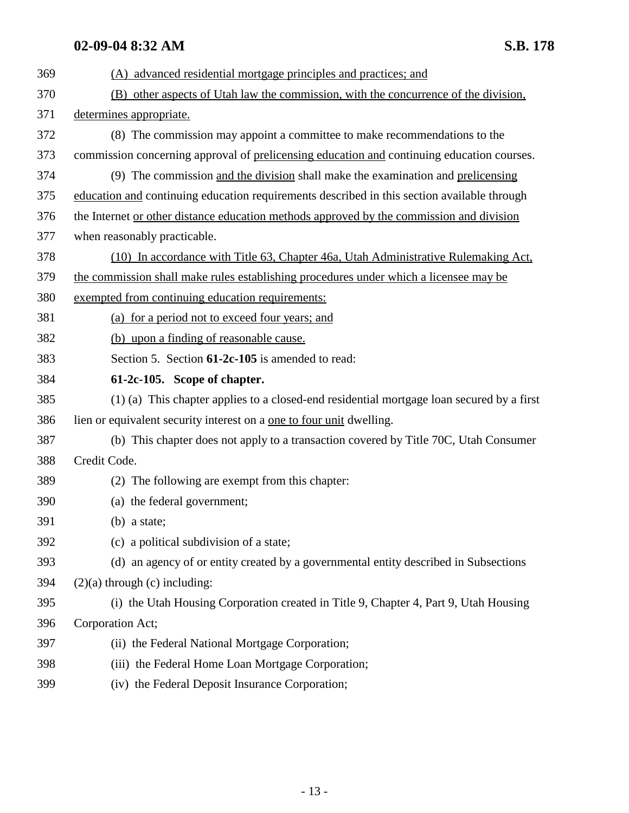| 369 | (A) advanced residential mortgage principles and practices; and                             |
|-----|---------------------------------------------------------------------------------------------|
| 370 | (B) other aspects of Utah law the commission, with the concurrence of the division,         |
| 371 | determines appropriate.                                                                     |
| 372 | (8) The commission may appoint a committee to make recommendations to the                   |
| 373 | commission concerning approval of prelicensing education and continuing education courses.  |
| 374 | (9) The commission and the division shall make the examination and prelicensing             |
| 375 | education and continuing education requirements described in this section available through |
| 376 | the Internet or other distance education methods approved by the commission and division    |
| 377 | when reasonably practicable.                                                                |
| 378 | (10) In accordance with Title 63, Chapter 46a, Utah Administrative Rulemaking Act,          |
| 379 | the commission shall make rules establishing procedures under which a licensee may be       |
| 380 | exempted from continuing education requirements:                                            |
| 381 | (a) for a period not to exceed four years; and                                              |
| 382 | (b) upon a finding of reasonable cause.                                                     |
| 383 | Section 5. Section 61-2c-105 is amended to read:                                            |
| 384 | 61-2c-105. Scope of chapter.                                                                |
| 385 | (1) (a) This chapter applies to a closed-end residential mortgage loan secured by a first   |
| 386 | lien or equivalent security interest on a <u>one to four unit</u> dwelling.                 |
| 387 | (b) This chapter does not apply to a transaction covered by Title 70C, Utah Consumer        |
| 388 | Credit Code.                                                                                |
| 389 | (2) The following are exempt from this chapter:                                             |
| 390 | (a) the federal government;                                                                 |
| 391 | $(b)$ a state;                                                                              |
| 392 | (c) a political subdivision of a state;                                                     |
| 393 | (d) an agency of or entity created by a governmental entity described in Subsections        |
| 394 | $(2)(a)$ through $(c)$ including:                                                           |
| 395 | (i) the Utah Housing Corporation created in Title 9, Chapter 4, Part 9, Utah Housing        |
| 396 | Corporation Act;                                                                            |
| 397 | (ii) the Federal National Mortgage Corporation;                                             |
| 398 | (iii) the Federal Home Loan Mortgage Corporation;                                           |
| 399 | (iv) the Federal Deposit Insurance Corporation;                                             |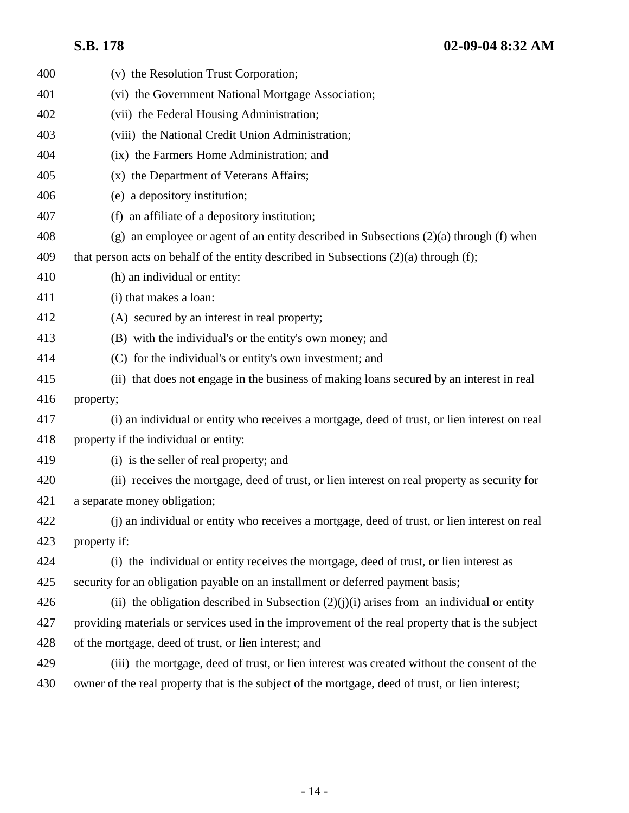| 400 | (v) the Resolution Trust Corporation;                                                            |
|-----|--------------------------------------------------------------------------------------------------|
| 401 | (vi) the Government National Mortgage Association;                                               |
| 402 | (vii) the Federal Housing Administration;                                                        |
| 403 | (viii) the National Credit Union Administration;                                                 |
| 404 | (ix) the Farmers Home Administration; and                                                        |
| 405 | (x) the Department of Veterans Affairs;                                                          |
| 406 | (e) a depository institution;                                                                    |
| 407 | (f) an affiliate of a depository institution;                                                    |
| 408 | (g) an employee or agent of an entity described in Subsections $(2)(a)$ through (f) when         |
| 409 | that person acts on behalf of the entity described in Subsections $(2)(a)$ through $(f)$ ;       |
| 410 | (h) an individual or entity:                                                                     |
| 411 | (i) that makes a loan:                                                                           |
| 412 | (A) secured by an interest in real property;                                                     |
| 413 | (B) with the individual's or the entity's own money; and                                         |
| 414 | (C) for the individual's or entity's own investment; and                                         |
| 415 | (ii) that does not engage in the business of making loans secured by an interest in real         |
| 416 | property;                                                                                        |
| 417 | (i) an individual or entity who receives a mortgage, deed of trust, or lien interest on real     |
| 418 | property if the individual or entity:                                                            |
| 419 | (i) is the seller of real property; and                                                          |
| 420 | (ii) receives the mortgage, deed of trust, or lien interest on real property as security for     |
| 421 | a separate money obligation;                                                                     |
| 422 | (i) an individual or entity who receives a mortgage, deed of trust, or lien interest on real     |
| 423 | property if:                                                                                     |
| 424 | (i) the individual or entity receives the mortgage, deed of trust, or lien interest as           |
| 425 | security for an obligation payable on an installment or deferred payment basis;                  |
| 426 | (ii) the obligation described in Subsection $(2)(j)(i)$ arises from an individual or entity      |
| 427 | providing materials or services used in the improvement of the real property that is the subject |
| 428 | of the mortgage, deed of trust, or lien interest; and                                            |
| 429 | (iii) the mortgage, deed of trust, or lien interest was created without the consent of the       |
| 430 | owner of the real property that is the subject of the mortgage, deed of trust, or lien interest; |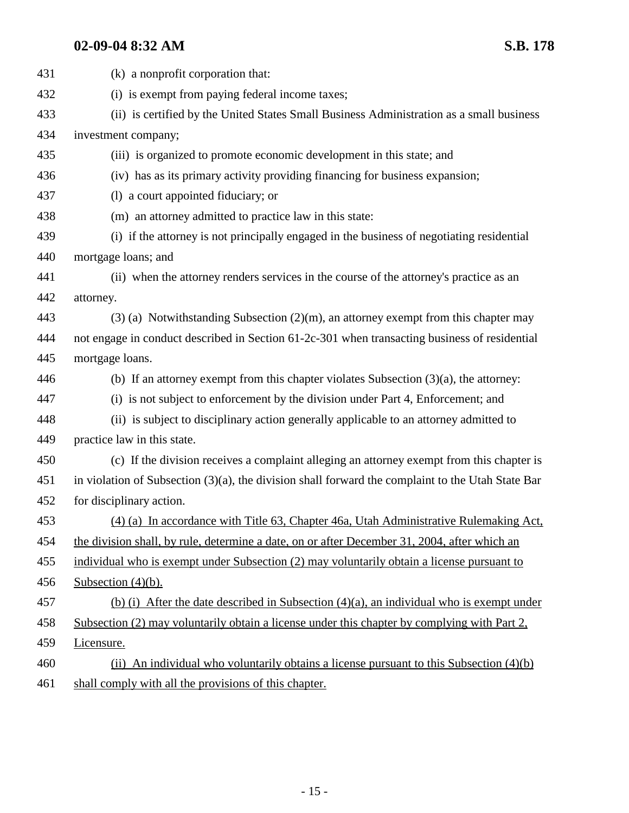| 431 | (k) a nonprofit corporation that:                                                                    |
|-----|------------------------------------------------------------------------------------------------------|
| 432 | (i) is exempt from paying federal income taxes;                                                      |
| 433 | (ii) is certified by the United States Small Business Administration as a small business             |
| 434 | investment company;                                                                                  |
| 435 | (iii) is organized to promote economic development in this state; and                                |
| 436 | (iv) has as its primary activity providing financing for business expansion;                         |
| 437 | (1) a court appointed fiduciary; or                                                                  |
| 438 | (m) an attorney admitted to practice law in this state:                                              |
| 439 | (i) if the attorney is not principally engaged in the business of negotiating residential            |
| 440 | mortgage loans; and                                                                                  |
| 441 | (ii) when the attorney renders services in the course of the attorney's practice as an               |
| 442 | attorney.                                                                                            |
| 443 | $(3)$ (a) Notwithstanding Subsection (2)(m), an attorney exempt from this chapter may                |
| 444 | not engage in conduct described in Section 61-2c-301 when transacting business of residential        |
| 445 | mortgage loans.                                                                                      |
| 446 | (b) If an attorney exempt from this chapter violates Subsection $(3)(a)$ , the attorney:             |
| 447 | (i) is not subject to enforcement by the division under Part 4, Enforcement; and                     |
| 448 | (ii) is subject to disciplinary action generally applicable to an attorney admitted to               |
| 449 | practice law in this state.                                                                          |
| 450 | (c) If the division receives a complaint alleging an attorney exempt from this chapter is            |
| 451 | in violation of Subsection $(3)(a)$ , the division shall forward the complaint to the Utah State Bar |
| 452 | for disciplinary action.                                                                             |
| 453 | (4) (a) In accordance with Title 63, Chapter 46a, Utah Administrative Rulemaking Act,                |
| 454 | the division shall, by rule, determine a date, on or after December 31, 2004, after which an         |
| 455 | individual who is exempt under Subsection (2) may voluntarily obtain a license pursuant to           |
| 456 | Subsection $(4)(b)$ .                                                                                |
| 457 | (b) (i) After the date described in Subsection $(4)(a)$ , an individual who is exempt under          |
| 458 | Subsection (2) may voluntarily obtain a license under this chapter by complying with Part 2,         |
| 459 | Licensure.                                                                                           |
| 460 | (ii) An individual who voluntarily obtains a license pursuant to this Subsection $(4)(b)$            |
| 461 | shall comply with all the provisions of this chapter.                                                |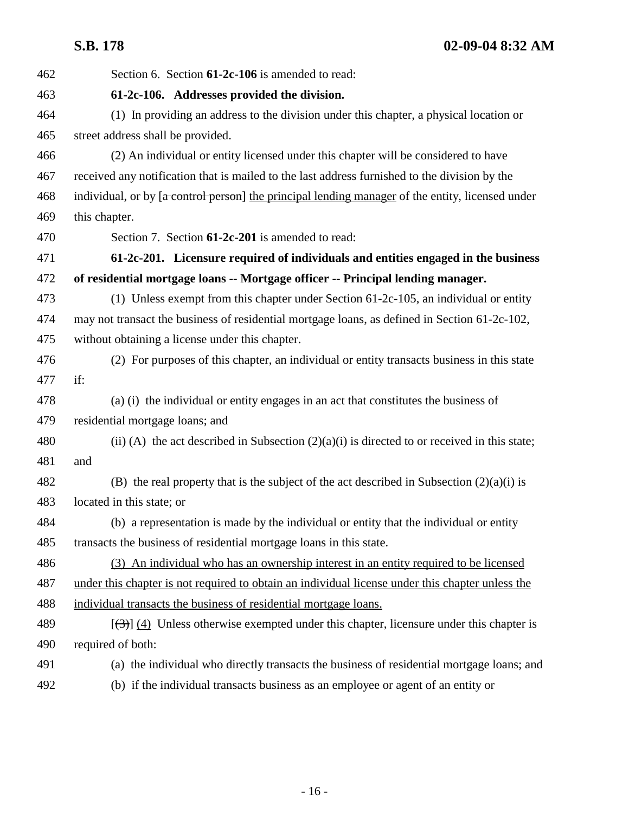| 462 | Section 6. Section 61-2c-106 is amended to read:                                                       |
|-----|--------------------------------------------------------------------------------------------------------|
| 463 | 61-2c-106. Addresses provided the division.                                                            |
| 464 | (1) In providing an address to the division under this chapter, a physical location or                 |
| 465 | street address shall be provided.                                                                      |
| 466 | (2) An individual or entity licensed under this chapter will be considered to have                     |
| 467 | received any notification that is mailed to the last address furnished to the division by the          |
| 468 | individual, or by [a control person] the principal lending manager of the entity, licensed under       |
| 469 | this chapter.                                                                                          |
| 470 | Section 7. Section 61-2c-201 is amended to read:                                                       |
| 471 | 61-2c-201. Licensure required of individuals and entities engaged in the business                      |
| 472 | of residential mortgage loans -- Mortgage officer -- Principal lending manager.                        |
| 473 | (1) Unless exempt from this chapter under Section $61-2c-105$ , an individual or entity                |
| 474 | may not transact the business of residential mortgage loans, as defined in Section 61-2c-102,          |
| 475 | without obtaining a license under this chapter.                                                        |
| 476 | (2) For purposes of this chapter, an individual or entity transacts business in this state             |
| 477 | if:                                                                                                    |
| 478 | (a) (i) the individual or entity engages in an act that constitutes the business of                    |
| 479 | residential mortgage loans; and                                                                        |
| 480 | (ii) (A) the act described in Subsection $(2)(a)(i)$ is directed to or received in this state;         |
| 481 | and                                                                                                    |
| 482 | (B) the real property that is the subject of the act described in Subsection $(2)(a)(i)$ is            |
| 483 | located in this state; or                                                                              |
| 484 | (b) a representation is made by the individual or entity that the individual or entity                 |
| 485 | transacts the business of residential mortgage loans in this state.                                    |
| 486 | (3) An individual who has an ownership interest in an entity required to be licensed                   |
| 487 | under this chapter is not required to obtain an individual license under this chapter unless the       |
| 488 | individual transacts the business of residential mortgage loans.                                       |
| 489 | $[\langle 3\rangle]$ (4) Unless otherwise exempted under this chapter, licensure under this chapter is |
| 490 | required of both:                                                                                      |
| 491 | (a) the individual who directly transacts the business of residential mortgage loans; and              |
| 492 | (b) if the individual transacts business as an employee or agent of an entity or                       |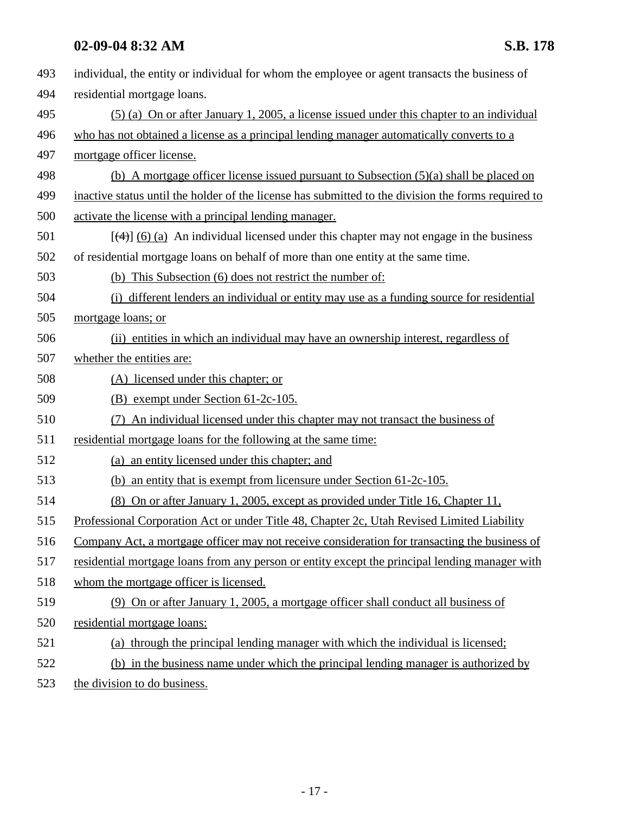| 493 | individual, the entity or individual for whom the employee or agent transacts the business of       |
|-----|-----------------------------------------------------------------------------------------------------|
| 494 | residential mortgage loans.                                                                         |
| 495 | $(5)$ (a) On or after January 1, 2005, a license issued under this chapter to an individual         |
| 496 | who has not obtained a license as a principal lending manager automatically converts to a           |
| 497 | mortgage officer license.                                                                           |
| 498 | (b) A mortgage officer license issued pursuant to Subsection $(5)(a)$ shall be placed on            |
| 499 | inactive status until the holder of the license has submitted to the division the forms required to |
| 500 | activate the license with a principal lending manager.                                              |
| 501 | $[\frac{4}{3}]$ (6) (a) An individual licensed under this chapter may not engage in the business    |
| 502 | of residential mortgage loans on behalf of more than one entity at the same time.                   |
| 503 | This Subsection (6) does not restrict the number of:<br>(b)                                         |
| 504 | (i) different lenders an individual or entity may use as a funding source for residential           |
| 505 | mortgage loans; or                                                                                  |
| 506 | (ii) entities in which an individual may have an ownership interest, regardless of                  |
| 507 | whether the entities are:                                                                           |
| 508 | (A) licensed under this chapter; or                                                                 |
| 509 | (B) exempt under Section 61-2c-105.                                                                 |
| 510 | An individual licensed under this chapter may not transact the business of<br>(7)                   |
| 511 | residential mortgage loans for the following at the same time:                                      |
| 512 | (a) an entity licensed under this chapter; and                                                      |
| 513 | (b) an entity that is exempt from licensure under Section $61-2c-105$ .                             |
| 514 | (8) On or after January 1, 2005, except as provided under Title 16, Chapter 11,                     |
| 515 | Professional Corporation Act or under Title 48, Chapter 2c, Utah Revised Limited Liability          |
| 516 | Company Act, a mortgage officer may not receive consideration for transacting the business of       |
| 517 | residential mortgage loans from any person or entity except the principal lending manager with      |
| 518 | whom the mortgage officer is licensed.                                                              |
| 519 | (9) On or after January 1, 2005, a mortgage officer shall conduct all business of                   |
| 520 | residential mortgage loans:                                                                         |
| 521 | (a) through the principal lending manager with which the individual is licensed;                    |
| 522 | (b) in the business name under which the principal lending manager is authorized by                 |
| 523 | the division to do business.                                                                        |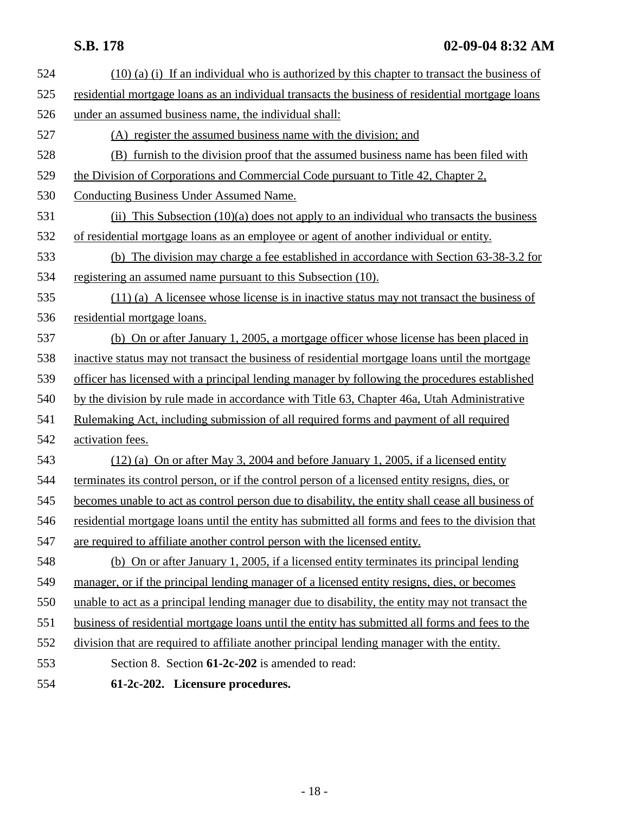| 524 | $(10)$ (a) (i) If an individual who is authorized by this chapter to transact the business of     |
|-----|---------------------------------------------------------------------------------------------------|
| 525 | residential mortgage loans as an individual transacts the business of residential mortgage loans  |
| 526 | under an assumed business name, the individual shall:                                             |
| 527 | (A) register the assumed business name with the division; and                                     |
| 528 | (B) furnish to the division proof that the assumed business name has been filed with              |
| 529 | the Division of Corporations and Commercial Code pursuant to Title 42, Chapter 2,                 |
| 530 | Conducting Business Under Assumed Name.                                                           |
| 531 | (ii) This Subsection $(10)(a)$ does not apply to an individual who transacts the business         |
| 532 | of residential mortgage loans as an employee or agent of another individual or entity.            |
| 533 | (b) The division may charge a fee established in accordance with Section 63-38-3.2 for            |
| 534 | registering an assumed name pursuant to this Subsection (10).                                     |
| 535 | (11) (a) A licensee whose license is in inactive status may not transact the business of          |
| 536 | residential mortgage loans.                                                                       |
| 537 | (b) On or after January 1, 2005, a mortgage officer whose license has been placed in              |
| 538 | inactive status may not transact the business of residential mortgage loans until the mortgage    |
| 539 | officer has licensed with a principal lending manager by following the procedures established     |
| 540 | by the division by rule made in accordance with Title 63, Chapter 46a, Utah Administrative        |
| 541 | Rulemaking Act, including submission of all required forms and payment of all required            |
| 542 | activation fees.                                                                                  |
| 543 | $(12)$ (a) On or after May 3, 2004 and before January 1, 2005, if a licensed entity               |
| 544 | terminates its control person, or if the control person of a licensed entity resigns, dies, or    |
| 545 | becomes unable to act as control person due to disability, the entity shall cease all business of |
| 546 | residential mortgage loans until the entity has submitted all forms and fees to the division that |
| 547 | are required to affiliate another control person with the licensed entity.                        |
| 548 | (b) On or after January 1, 2005, if a licensed entity terminates its principal lending            |
| 549 | manager, or if the principal lending manager of a licensed entity resigns, dies, or becomes       |
| 550 | unable to act as a principal lending manager due to disability, the entity may not transact the   |
| 551 | business of residential mortgage loans until the entity has submitted all forms and fees to the   |
| 552 | division that are required to affiliate another principal lending manager with the entity.        |
| 553 | Section 8. Section 61-2c-202 is amended to read:                                                  |
| 554 | 61-2c-202. Licensure procedures.                                                                  |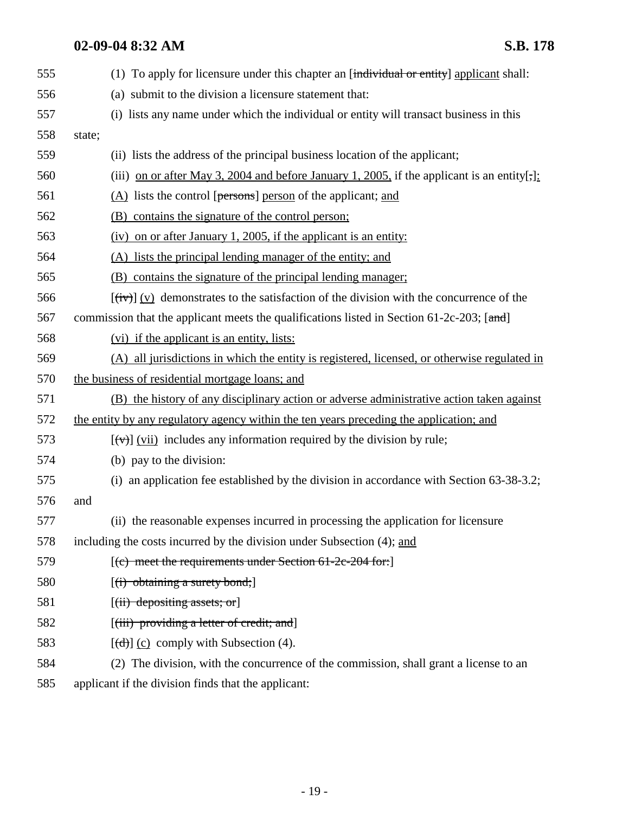| 555 | (1) To apply for licensure under this chapter an [individual or entity] applicant shall:                                                                                                   |
|-----|--------------------------------------------------------------------------------------------------------------------------------------------------------------------------------------------|
| 556 | (a) submit to the division a licensure statement that:                                                                                                                                     |
| 557 | (i) lists any name under which the individual or entity will transact business in this                                                                                                     |
| 558 | state;                                                                                                                                                                                     |
| 559 | (ii) lists the address of the principal business location of the applicant;                                                                                                                |
| 560 | (iii) on or after May 3, 2004 and before January 1, 2005, if the applicant is an entity[;]:                                                                                                |
| 561 | $(A)$ lists the control [persons] person of the applicant; and                                                                                                                             |
| 562 | (B) contains the signature of the control person;                                                                                                                                          |
| 563 | $(iv)$ on or after January 1, 2005, if the applicant is an entity:                                                                                                                         |
| 564 | (A) lists the principal lending manager of the entity; and                                                                                                                                 |
| 565 | (B) contains the signature of the principal lending manager;                                                                                                                               |
| 566 | $[\overrightarrow{tv}] (v)$ demonstrates to the satisfaction of the division with the concurrence of the                                                                                   |
| 567 | commission that the applicant meets the qualifications listed in Section 61-2c-203; $[\pi + \pi + \pi + \pi + \pi + \pi + \pi + \pi + \pi + \pi + \pi + \pi + \pi + \pi + \pi + \pi + \pi$ |
| 568 | (vi) if the applicant is an entity, lists:                                                                                                                                                 |
| 569 | (A) all jurisdictions in which the entity is registered, licensed, or otherwise regulated in                                                                                               |
| 570 | the business of residential mortgage loans; and                                                                                                                                            |
| 571 | (B) the history of any disciplinary action or adverse administrative action taken against                                                                                                  |
| 572 | the entity by any regulatory agency within the ten years preceding the application; and                                                                                                    |
| 573 | $[\overline{(v)}]$ (vii) includes any information required by the division by rule;                                                                                                        |
| 574 | (b) pay to the division:                                                                                                                                                                   |
| 575 | (i) an application fee established by the division in accordance with Section 63-38-3.2;                                                                                                   |
| 576 | and                                                                                                                                                                                        |
| 577 | (ii) the reasonable expenses incurred in processing the application for licensure                                                                                                          |
| 578 | including the costs incurred by the division under Subsection (4); and                                                                                                                     |
| 579 | [(c) meet the requirements under Section 61-2c-204 for:]                                                                                                                                   |
| 580 | [(i) obtaining a surety bond;]                                                                                                                                                             |
| 581 | $[(ii)$ depositing assets; or                                                                                                                                                              |
| 582 | [(iii) providing a letter of credit; and]                                                                                                                                                  |
| 583 | $[\text{d} \cdot \text{d} \cdot ]$ (c) comply with Subsection (4).                                                                                                                         |
| 584 | (2) The division, with the concurrence of the commission, shall grant a license to an                                                                                                      |
| 585 | applicant if the division finds that the applicant:                                                                                                                                        |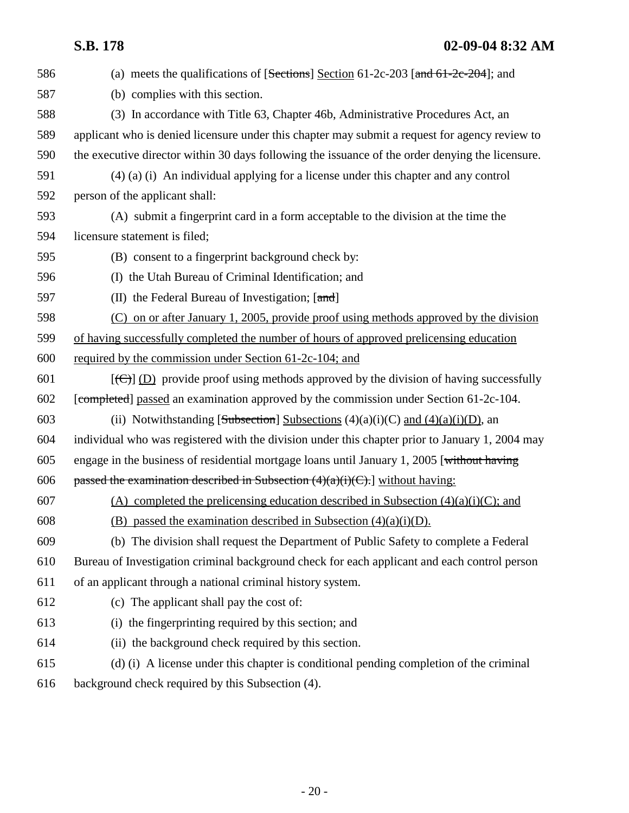| 586 | (a) meets the qualifications of $[Sections]$ Section 61-2c-203 $[and 61-2c-204]$ ; and              |
|-----|-----------------------------------------------------------------------------------------------------|
| 587 | (b) complies with this section.                                                                     |
| 588 | (3) In accordance with Title 63, Chapter 46b, Administrative Procedures Act, an                     |
| 589 | applicant who is denied licensure under this chapter may submit a request for agency review to      |
| 590 | the executive director within 30 days following the issuance of the order denying the licensure.    |
| 591 | $(4)$ (a) (i) An individual applying for a license under this chapter and any control               |
| 592 | person of the applicant shall:                                                                      |
| 593 | (A) submit a fingerprint card in a form acceptable to the division at the time the                  |
| 594 | licensure statement is filed;                                                                       |
| 595 | (B) consent to a fingerprint background check by:                                                   |
| 596 | (I) the Utah Bureau of Criminal Identification; and                                                 |
| 597 | (II) the Federal Bureau of Investigation; $[\text{and}]$                                            |
| 598 | (C) on or after January 1, 2005, provide proof using methods approved by the division               |
| 599 | of having successfully completed the number of hours of approved prelicensing education             |
| 600 | required by the commission under Section 61-2c-104; and                                             |
| 601 | $[\text{(\theta)}]$ (D) provide proof using methods approved by the division of having successfully |
| 602 | [completed] passed an examination approved by the commission under Section 61-2c-104.               |
| 603 | (ii) Notwithstanding [Subsection] Subsections $(4)(a)(i)(C)$ and $(4)(a)(i)(D)$ , an                |
| 604 | individual who was registered with the division under this chapter prior to January 1, 2004 may     |
| 605 | engage in the business of residential mortgage loans until January 1, 2005 [without having          |
| 606 | passed the examination described in Subsection $(4)(a)(i)(C)$ . without having:                     |
| 607 | (A) completed the prelicensing education described in Subsection $(4)(a)(i)(C)$ ; and               |
| 608 | (B) passed the examination described in Subsection $(4)(a)(i)(D)$ .                                 |
| 609 | (b) The division shall request the Department of Public Safety to complete a Federal                |
| 610 | Bureau of Investigation criminal background check for each applicant and each control person        |
| 611 | of an applicant through a national criminal history system.                                         |
| 612 | (c) The applicant shall pay the cost of:                                                            |
| 613 | (i) the fingerprinting required by this section; and                                                |
| 614 | (ii) the background check required by this section.                                                 |
| 615 | (d) (i) A license under this chapter is conditional pending completion of the criminal              |
| 616 | background check required by this Subsection (4).                                                   |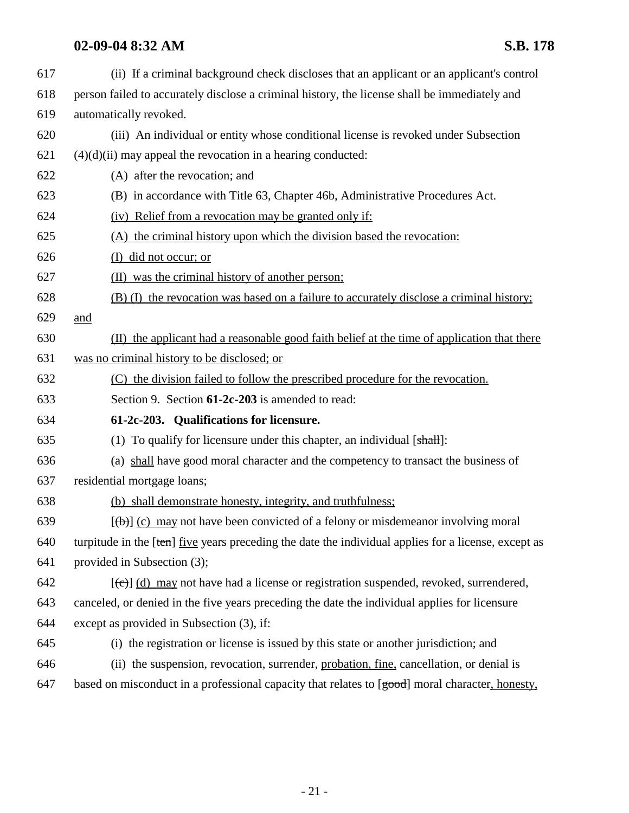617 (ii) If a criminal background check discloses that an applicant or an applicant's control 618 person failed to accurately disclose a criminal history, the license shall be immediately and 619 automatically revoked. 620 (iii) An individual or entity whose conditional license is revoked under Subsection  $621$  (4)(d)(ii) may appeal the revocation in a hearing conducted: 622 (A) after the revocation; and 623 (B) in accordance with Title 63, Chapter 46b, Administrative Procedures Act. 624 (iv) Relief from a revocation may be granted only if: 625 (A) the criminal history upon which the division based the revocation: 626 (I) did not occur; or 627 (II) was the criminal history of another person; 628 (B) (I) the revocation was based on a failure to accurately disclose a criminal history; 629 and 630 (II) the applicant had a reasonable good faith belief at the time of application that there 631 was no criminal history to be disclosed; or 632 (C) the division failed to follow the prescribed procedure for the revocation. 633 Section 9. Section **61-2c-203** is amended to read: 634 **61-2c-203. Qualifications for licensure.** 635 (1) To qualify for licensure under this chapter, an individual  $[sh]$ : 636 (a) shall have good moral character and the competency to transact the business of 637 residential mortgage loans; 638 (b) shall demonstrate honesty, integrity, and truthfulness; 639  $[(b)]$  (c) may not have been convicted of a felony or misdemeanor involving moral 640 turpitude in the  $[ten]$  five years preceding the date the individual applies for a license, except as 641 provided in Subsection (3);  $642$  [(c)] (d) may not have had a license or registration suspended, revoked, surrendered, 643 canceled, or denied in the five years preceding the date the individual applies for licensure 644 except as provided in Subsection (3), if: 645 (i) the registration or license is issued by this state or another jurisdiction; and 646 (ii) the suspension, revocation, surrender, probation, fine, cancellation, or denial is 647 based on misconduct in a professional capacity that relates to [good] moral character, honesty,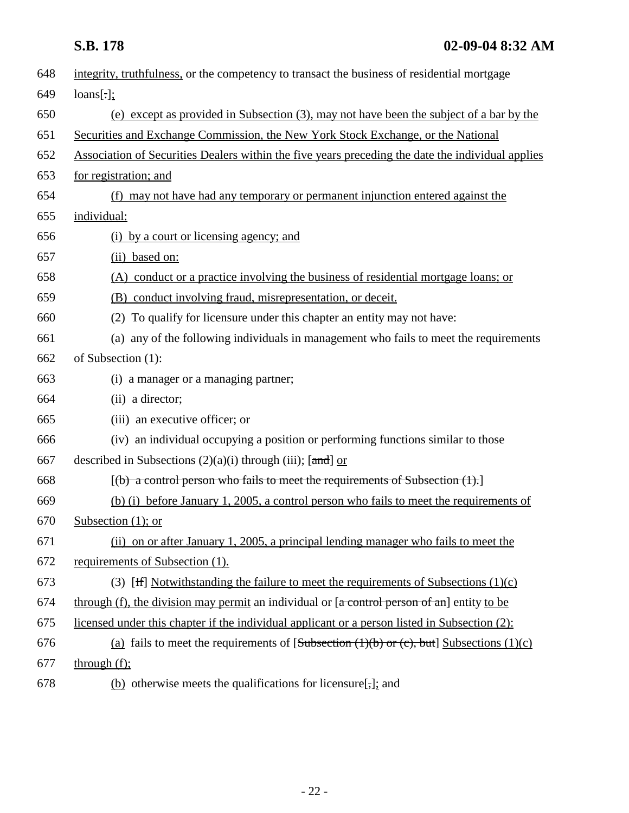| 648 | integrity, truthfulness, or the competency to transact the business of residential mortgage       |
|-----|---------------------------------------------------------------------------------------------------|
| 649 | $loans[\cdot]$ ;                                                                                  |
| 650 | (e) except as provided in Subsection (3), may not have been the subject of a bar by the           |
| 651 | Securities and Exchange Commission, the New York Stock Exchange, or the National                  |
| 652 | Association of Securities Dealers within the five years preceding the date the individual applies |
| 653 | for registration; and                                                                             |
| 654 | (f) may not have had any temporary or permanent injunction entered against the                    |
| 655 | individual:                                                                                       |
| 656 | (i) by a court or licensing agency; and                                                           |
| 657 | (ii) based on:                                                                                    |
| 658 | (A) conduct or a practice involving the business of residential mortgage loans; or                |
| 659 | (B) conduct involving fraud, misrepresentation, or deceit.                                        |
| 660 | (2) To qualify for licensure under this chapter an entity may not have:                           |
| 661 | (a) any of the following individuals in management who fails to meet the requirements             |
| 662 | of Subsection (1):                                                                                |
| 663 | (i) a manager or a managing partner;                                                              |
| 664 | (ii) a director;                                                                                  |
| 665 | (iii) an executive officer; or                                                                    |
| 666 | (iv) an individual occupying a position or performing functions similar to those                  |
| 667 | described in Subsections $(2)(a)(i)$ through (iii); [and] or                                      |
| 668 | $[(b)$ a control person who fails to meet the requirements of Subsection $(1)$ .                  |
| 669 | (b) (i) before January 1, 2005, a control person who fails to meet the requirements of            |
| 670 | Subsection $(1)$ ; or                                                                             |
| 671 | (ii) on or after January 1, 2005, a principal lending manager who fails to meet the               |
| 672 | requirements of Subsection (1).                                                                   |
| 673 | (3) [He Notwithstanding the failure to meet the requirements of Subsections $(1)(c)$              |
| 674 | through (f), the division may permit an individual or $[a$ control person of an] entity to be     |
| 675 | licensed under this chapter if the individual applicant or a person listed in Subsection (2):     |
| 676 | (a) fails to meet the requirements of $[Subsection (1)(b) or (c), but] Subsections (1)(c)$        |
| 677 | through $(f)$ ;                                                                                   |
| 678 | (b) otherwise meets the qualifications for licensure[ $\frac{1}{2}$ ]; and                        |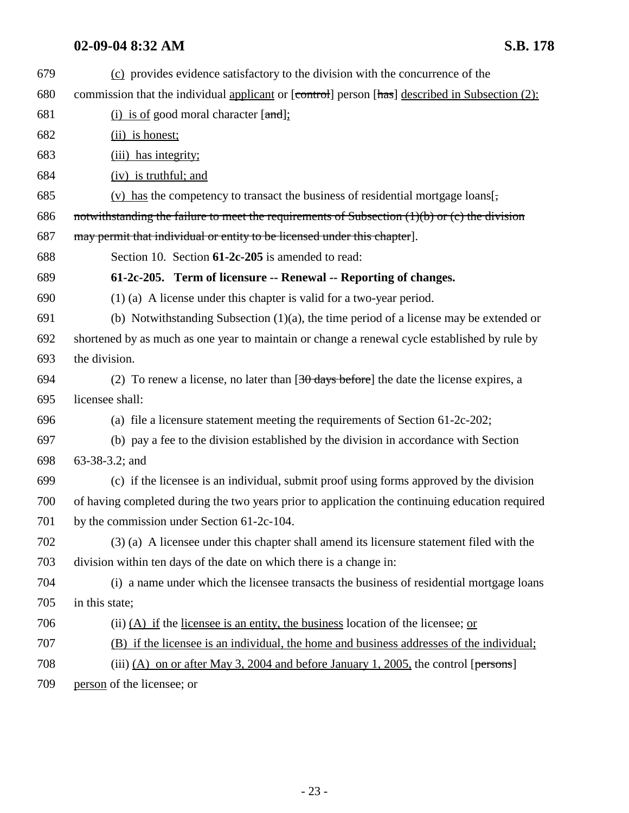| 679 | (c) provides evidence satisfactory to the division with the concurrence of the                    |
|-----|---------------------------------------------------------------------------------------------------|
| 680 | commission that the individual applicant or [control] person [has] described in Subsection (2):   |
| 681 | $(i)$ is of good moral character $[and]$ :                                                        |
| 682 | $(ii)$ is honest;                                                                                 |
| 683 | (iii) has integrity;                                                                              |
| 684 | $(iv)$ is truthful; and                                                                           |
| 685 | $(v)$ has the competency to transact the business of residential mortgage loans[,                 |
| 686 | notwithstanding the failure to meet the requirements of Subsection $(1)(b)$ or $(c)$ the division |
| 687 | may permit that individual or entity to be licensed under this chapter.                           |
| 688 | Section 10. Section 61-2c-205 is amended to read:                                                 |
| 689 | 61-2c-205. Term of licensure -- Renewal -- Reporting of changes.                                  |
| 690 | $(1)$ (a) A license under this chapter is valid for a two-year period.                            |
| 691 | (b) Notwithstanding Subsection $(1)(a)$ , the time period of a license may be extended or         |
| 692 | shortened by as much as one year to maintain or change a renewal cycle established by rule by     |
| 693 | the division.                                                                                     |
| 694 | (2) To renew a license, no later than $[30 \text{ days before}]$ the date the license expires, a  |
| 695 | licensee shall:                                                                                   |
| 696 | (a) file a licensure statement meeting the requirements of Section $61-2c-202$ ;                  |
| 697 | (b) pay a fee to the division established by the division in accordance with Section              |
| 698 | 63-38-3.2; and                                                                                    |
| 699 | (c) if the licensee is an individual, submit proof using forms approved by the division           |
| 700 | of having completed during the two years prior to application the continuing education required   |
| 701 | by the commission under Section 61-2c-104.                                                        |
| 702 | (3) (a) A licensee under this chapter shall amend its licensure statement filed with the          |
| 703 | division within ten days of the date on which there is a change in:                               |
| 704 | (i) a name under which the licensee transacts the business of residential mortgage loans          |
| 705 | in this state;                                                                                    |
| 706 | (ii) $(A)$ if the licensee is an entity, the business location of the licensee; or                |
| 707 | (B) if the licensee is an individual, the home and business addresses of the individual;          |
| 708 | (iii) $(A)$ on or after May 3, 2004 and before January 1, 2005, the control [persons]             |
| 709 | person of the licensee; or                                                                        |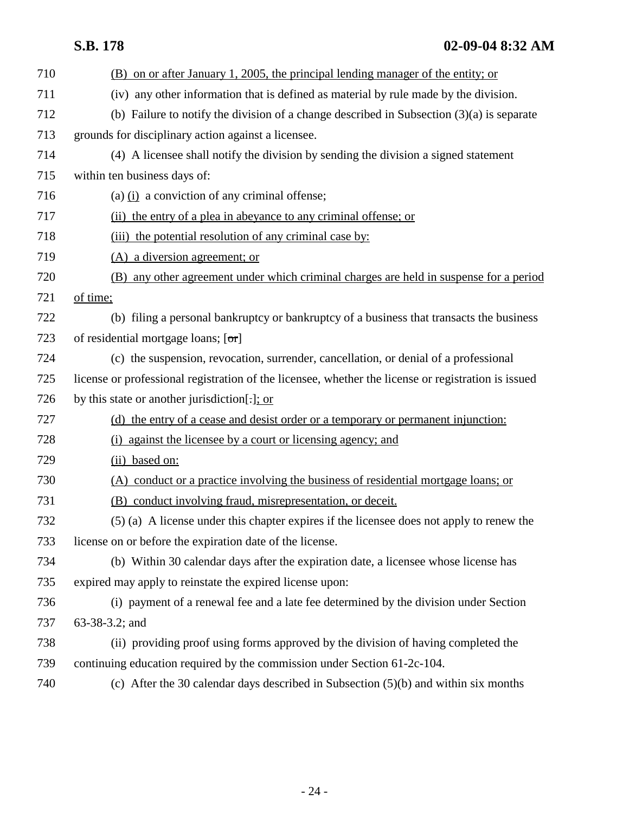|     | <b>S.B. 178</b><br>$02-09-048:32 AM$                                                        |
|-----|---------------------------------------------------------------------------------------------|
| 710 | (B) on or after January 1, 2005, the principal lending manager of the entity; or            |
| 711 | (iv) any other information that is defined as material by rule made by the division.        |
| 712 | (b) Failure to notify the division of a change described in Subsection $(3)(a)$ is separate |
| 713 | grounds for disciplinary action against a licensee.                                         |
| 714 | (4) A licensee shall notify the division by sending the division a signed statement         |
| 715 | within ten business days of:                                                                |
| 716 | (a) $(i)$ a conviction of any criminal offense;                                             |
| 717 | (ii) the entry of a plea in abeyance to any criminal offense; or                            |
| 718 | (iii) the potential resolution of any criminal case by:                                     |
| 719 | (A) a diversion agreement; or                                                               |
| 720 | (B) any other agreement under which criminal charges are held in suspense for a period      |
| 721 | of time;                                                                                    |
| 722 | (b) filing a personal bankruptcy or bankruptcy of a business that transacts the business    |
| 723 | of residential mortgage loans; $[\sigma r]$                                                 |
| 724 | (c) the suspension, revocation, surrender, cancellation, or denial of a professional        |

- 725 license or professional registration of the licensee, whether the license or registration is issued
- 726 by this state or another jurisdiction[.]; or
- 727 (d) the entry of a cease and desist order or a temporary or permanent injunction:
- 728 (i) against the licensee by a court or licensing agency; and
- 729 (ii) based on:
- 730 (A) conduct or a practice involving the business of residential mortgage loans; or
- 731 (B) conduct involving fraud, misrepresentation, or deceit.
- 732 (5) (a) A license under this chapter expires if the licensee does not apply to renew the 733 license on or before the expiration date of the license.
- 734 (b) Within 30 calendar days after the expiration date, a licensee whose license has 735 expired may apply to reinstate the expired license upon:
- 736 (i) payment of a renewal fee and a late fee determined by the division under Section 737 63-38-3.2; and
- 738 (ii) providing proof using forms approved by the division of having completed the 739 continuing education required by the commission under Section 61-2c-104.
- 740 (c) After the 30 calendar days described in Subsection (5)(b) and within six months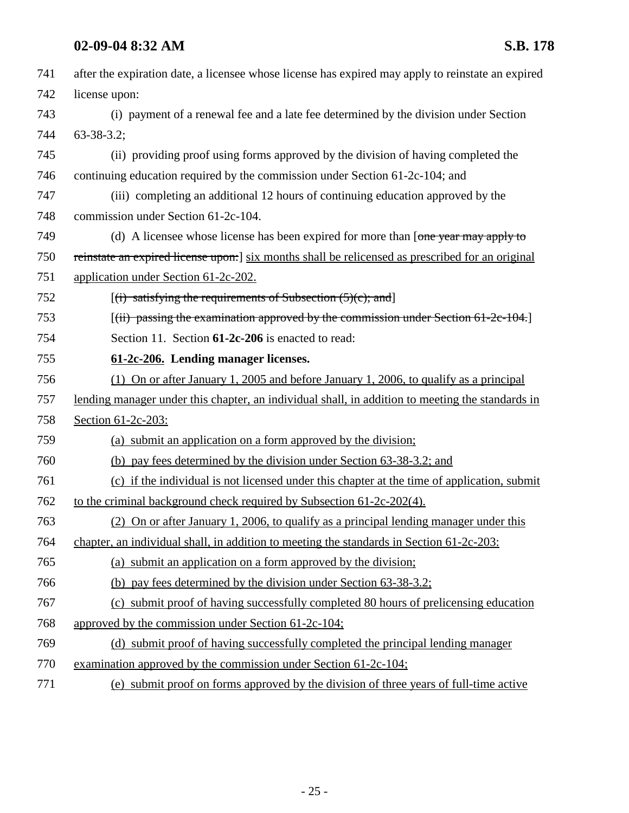| 741 | after the expiration date, a licensee whose license has expired may apply to reinstate an expired |
|-----|---------------------------------------------------------------------------------------------------|
| 742 | license upon:                                                                                     |
| 743 | (i) payment of a renewal fee and a late fee determined by the division under Section              |
| 744 | $63 - 38 - 3.2$ ;                                                                                 |
| 745 | (ii) providing proof using forms approved by the division of having completed the                 |
| 746 | continuing education required by the commission under Section 61-2c-104; and                      |
| 747 | (iii) completing an additional 12 hours of continuing education approved by the                   |
| 748 | commission under Section 61-2c-104.                                                               |
| 749 | (d) A licensee whose license has been expired for more than [one year may apply to                |
| 750 | reinstate an expired license upon: [six months shall be relicensed as prescribed for an original  |
| 751 | application under Section 61-2c-202.                                                              |
| 752 | $[(i)$ satisfying the requirements of Subsection $(5)(c)$ ; and                                   |
| 753 | $[(iii)$ passing the examination approved by the commission under Section 61-2e-104.              |
| 754 | Section 11. Section 61-2c-206 is enacted to read:                                                 |
| 755 | 61-2c-206. Lending manager licenses.                                                              |
| 756 | (1) On or after January 1, 2005 and before January 1, 2006, to qualify as a principal             |
| 757 | lending manager under this chapter, an individual shall, in addition to meeting the standards in  |
| 758 | Section 61-2c-203:                                                                                |
| 759 | (a) submit an application on a form approved by the division;                                     |
| 760 | (b) pay fees determined by the division under Section 63-38-3.2; and                              |
| 761 | (c) if the individual is not licensed under this chapter at the time of application, submit       |
| 762 | to the criminal background check required by Subsection 61-2c-202(4).                             |
| 763 | (2) On or after January 1, 2006, to qualify as a principal lending manager under this             |
| 764 | chapter, an individual shall, in addition to meeting the standards in Section 61-2c-203:          |
| 765 | (a) submit an application on a form approved by the division;                                     |
| 766 | (b) pay fees determined by the division under Section 63-38-3.2;                                  |
| 767 | (c) submit proof of having successfully completed 80 hours of prelicensing education              |
| 768 | approved by the commission under Section 61-2c-104;                                               |
| 769 | (d) submit proof of having successfully completed the principal lending manager                   |
| 770 | examination approved by the commission under Section $61-2c-104$ ;                                |
| 771 | (e) submit proof on forms approved by the division of three years of full-time active             |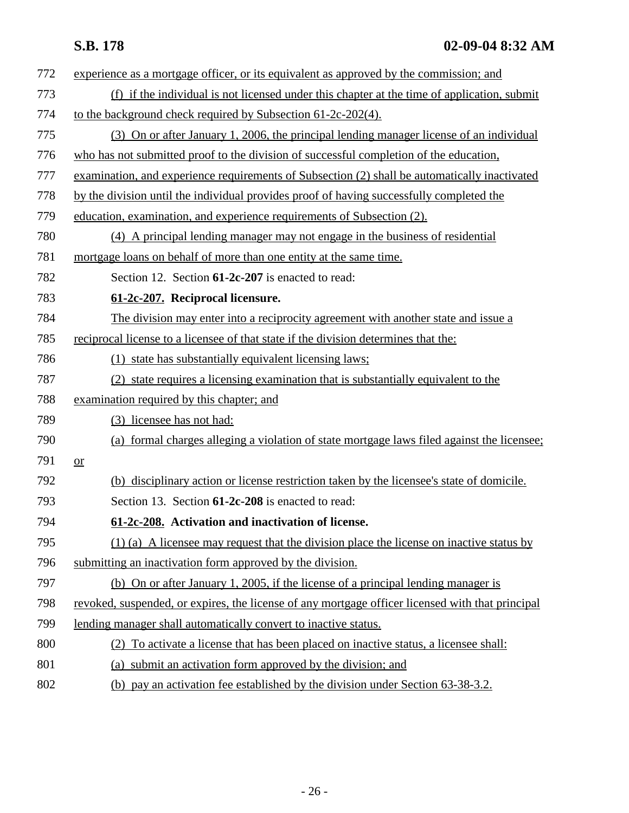| 772 | experience as a mortgage officer, or its equivalent as approved by the commission; and           |
|-----|--------------------------------------------------------------------------------------------------|
| 773 | (f) if the individual is not licensed under this chapter at the time of application, submit      |
| 774 | to the background check required by Subsection 61-2c-202(4).                                     |
| 775 | (3) On or after January 1, 2006, the principal lending manager license of an individual          |
| 776 | who has not submitted proof to the division of successful completion of the education,           |
| 777 | examination, and experience requirements of Subsection (2) shall be automatically inactivated    |
| 778 | by the division until the individual provides proof of having successfully completed the         |
| 779 | education, examination, and experience requirements of Subsection (2).                           |
| 780 | (4) A principal lending manager may not engage in the business of residential                    |
| 781 | mortgage loans on behalf of more than one entity at the same time.                               |
| 782 | Section 12. Section 61-2c-207 is enacted to read:                                                |
| 783 | 61-2c-207. Reciprocal licensure.                                                                 |
| 784 | The division may enter into a reciprocity agreement with another state and issue a               |
| 785 | reciprocal license to a licensee of that state if the division determines that the:              |
| 786 | (1) state has substantially equivalent licensing laws;                                           |
| 787 | (2) state requires a licensing examination that is substantially equivalent to the               |
| 788 | examination required by this chapter; and                                                        |
| 789 | (3) licensee has not had:                                                                        |
| 790 | (a) formal charges alleging a violation of state mortgage laws filed against the licensee;       |
| 791 | $or$                                                                                             |
| 792 | (b) disciplinary action or license restriction taken by the licensee's state of domicile.        |
| 793 | Section 13. Section 61-2c-208 is enacted to read:                                                |
| 794 | 61-2c-208. Activation and inactivation of license.                                               |
| 795 | $(1)$ (a) A licensee may request that the division place the license on inactive status by       |
| 796 | submitting an inactivation form approved by the division.                                        |
| 797 | (b) On or after January 1, 2005, if the license of a principal lending manager is                |
| 798 | revoked, suspended, or expires, the license of any mortgage officer licensed with that principal |
| 799 | lending manager shall automatically convert to inactive status.                                  |
| 800 | (2) To activate a license that has been placed on inactive status, a licensee shall:             |
| 801 | (a) submit an activation form approved by the division; and                                      |
| 802 | (b) pay an activation fee established by the division under Section 63-38-3.2.                   |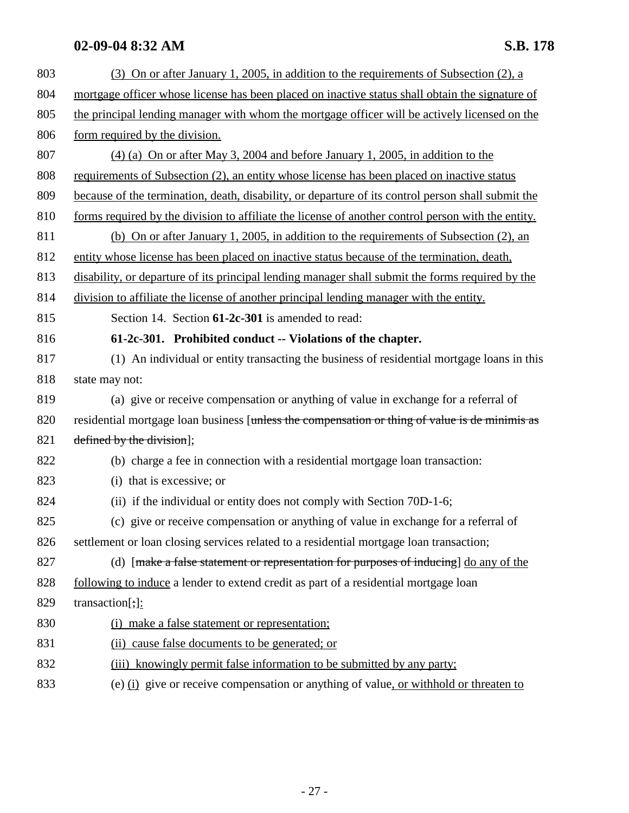| 803 | (3) On or after January 1, 2005, in addition to the requirements of Subsection (2), a              |
|-----|----------------------------------------------------------------------------------------------------|
| 804 | mortgage officer whose license has been placed on inactive status shall obtain the signature of    |
| 805 | the principal lending manager with whom the mortgage officer will be actively licensed on the      |
| 806 | form required by the division.                                                                     |
| 807 | $(4)$ (a) On or after May 3, 2004 and before January 1, 2005, in addition to the                   |
| 808 | requirements of Subsection (2), an entity whose license has been placed on inactive status         |
| 809 | because of the termination, death, disability, or departure of its control person shall submit the |
| 810 | forms required by the division to affiliate the license of another control person with the entity. |
| 811 | (b) On or after January 1, 2005, in addition to the requirements of Subsection (2), an             |
| 812 | entity whose license has been placed on inactive status because of the termination, death,         |
| 813 | disability, or departure of its principal lending manager shall submit the forms required by the   |
| 814 | division to affiliate the license of another principal lending manager with the entity.            |
| 815 | Section 14. Section 61-2c-301 is amended to read:                                                  |
| 816 | 61-2c-301. Prohibited conduct -- Violations of the chapter.                                        |
| 817 | (1) An individual or entity transacting the business of residential mortgage loans in this         |
| 818 | state may not:                                                                                     |
| 819 | (a) give or receive compensation or anything of value in exchange for a referral of                |
| 820 | residential mortgage loan business [unless the compensation or thing of value is de minimis as     |
| 821 | defined by the division];                                                                          |
| 822 | (b) charge a fee in connection with a residential mortgage loan transaction:                       |
| 823 | (i) that is excessive; or                                                                          |
| 824 | (ii) if the individual or entity does not comply with Section 70D-1-6;                             |
| 825 | (c) give or receive compensation or anything of value in exchange for a referral of                |
| 826 | settlement or loan closing services related to a residential mortgage loan transaction;            |
| 827 | (d) [make a false statement or representation for purposes of inducing] do any of the              |
| 828 | following to induce a lender to extend credit as part of a residential mortgage loan               |
| 829 | transaction[;] $:$                                                                                 |
| 830 | (i) make a false statement or representation;                                                      |
| 831 | (ii) cause false documents to be generated; or                                                     |
| 832 | (iii) knowingly permit false information to be submitted by any party;                             |
| 833 | (e) (i) give or receive compensation or anything of value, or withhold or threaten to              |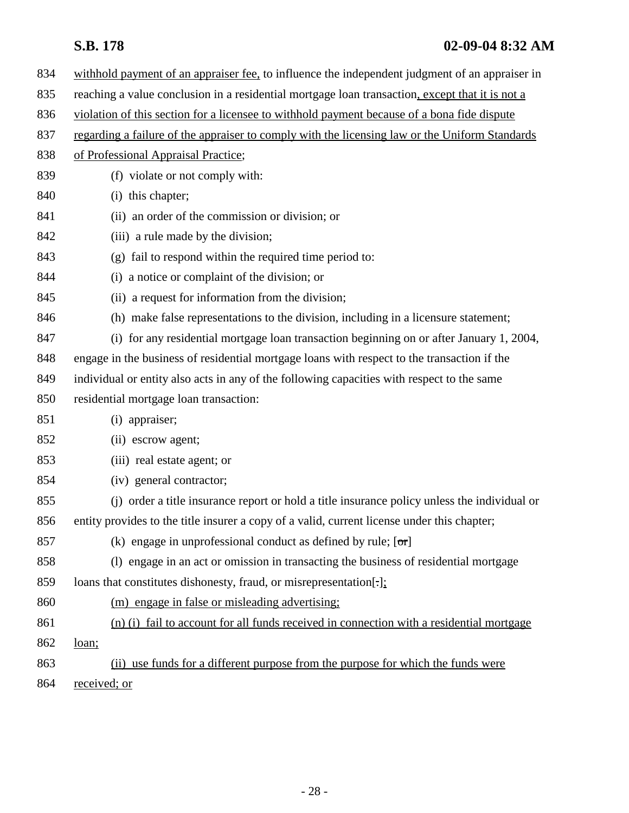| 834 | withhold payment of an appraiser fee, to influence the independent judgment of an appraiser in  |
|-----|-------------------------------------------------------------------------------------------------|
| 835 | reaching a value conclusion in a residential mortgage loan transaction, except that it is not a |
| 836 | violation of this section for a licensee to withhold payment because of a bona fide dispute     |
| 837 | regarding a failure of the appraiser to comply with the licensing law or the Uniform Standards  |
| 838 | of Professional Appraisal Practice;                                                             |
| 839 | (f) violate or not comply with:                                                                 |
| 840 | (i) this chapter;                                                                               |
| 841 | (ii) an order of the commission or division; or                                                 |
| 842 | (iii) a rule made by the division;                                                              |
| 843 | (g) fail to respond within the required time period to:                                         |
| 844 | (i) a notice or complaint of the division; or                                                   |
| 845 | (ii) a request for information from the division;                                               |
| 846 | (h) make false representations to the division, including in a licensure statement;             |
| 847 | (i) for any residential mortgage loan transaction beginning on or after January 1, 2004,        |
| 848 | engage in the business of residential mortgage loans with respect to the transaction if the     |
| 849 | individual or entity also acts in any of the following capacities with respect to the same      |
| 850 | residential mortgage loan transaction:                                                          |
| 851 | (i) appraiser;                                                                                  |
| 852 | (ii) escrow agent;                                                                              |
| 853 | (iii) real estate agent; or                                                                     |
| 854 | (iv) general contractor;                                                                        |
| 855 | (i) order a title insurance report or hold a title insurance policy unless the individual or    |
| 856 | entity provides to the title insurer a copy of a valid, current license under this chapter;     |
| 857 | (k) engage in unprofessional conduct as defined by rule; $[\sigma r]$                           |
| 858 | (1) engage in an act or omission in transacting the business of residential mortgage            |
| 859 | loans that constitutes dishonesty, fraud, or misrepresentation[.];                              |
| 860 | (m) engage in false or misleading advertising;                                                  |
| 861 | (n) (i) fail to account for all funds received in connection with a residential mortgage        |
| 862 | loan;                                                                                           |
| 863 | (ii) use funds for a different purpose from the purpose for which the funds were                |
| 864 | received; or                                                                                    |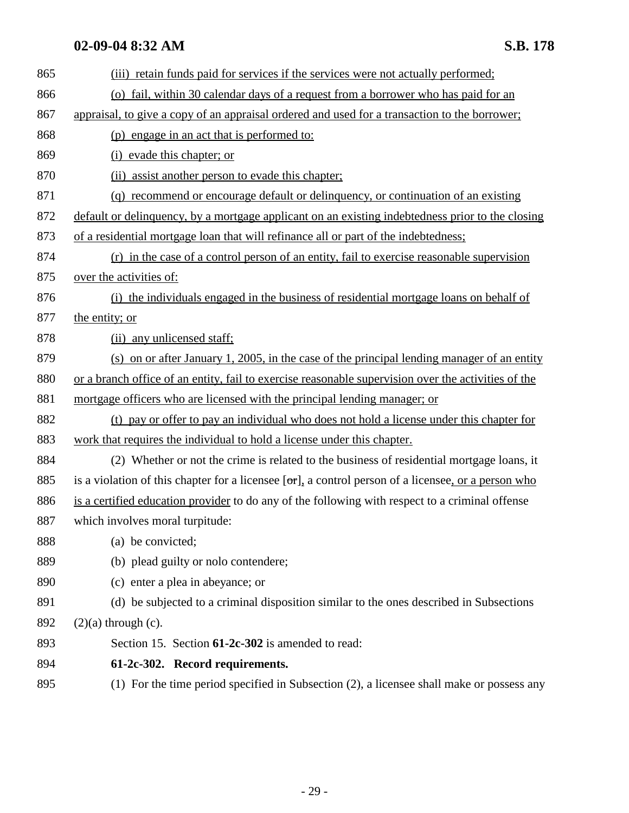| 865 | (iii) retain funds paid for services if the services were not actually performed;                            |
|-----|--------------------------------------------------------------------------------------------------------------|
| 866 | (o) fail, within 30 calendar days of a request from a borrower who has paid for an                           |
| 867 | appraisal, to give a copy of an appraisal ordered and used for a transaction to the borrower;                |
| 868 | (p) engage in an act that is performed to:                                                                   |
| 869 | (i) evade this chapter; or                                                                                   |
| 870 | (ii) assist another person to evade this chapter;                                                            |
| 871 | (q) recommend or encourage default or delinquency, or continuation of an existing                            |
| 872 | default or delinquency, by a mortgage applicant on an existing indebtedness prior to the closing             |
| 873 | of a residential mortgage loan that will refinance all or part of the indebtedness;                          |
| 874 | (r) in the case of a control person of an entity, fail to exercise reasonable supervision                    |
| 875 | over the activities of:                                                                                      |
| 876 | (i) the individuals engaged in the business of residential mortgage loans on behalf of                       |
| 877 | the entity; or                                                                                               |
| 878 | (ii) any unlicensed staff;                                                                                   |
| 879 | (s) on or after January 1, 2005, in the case of the principal lending manager of an entity                   |
| 880 | or a branch office of an entity, fail to exercise reasonable supervision over the activities of the          |
| 881 | mortgage officers who are licensed with the principal lending manager; or                                    |
| 882 | (t) pay or offer to pay an individual who does not hold a license under this chapter for                     |
| 883 | work that requires the individual to hold a license under this chapter.                                      |
| 884 | (2) Whether or not the crime is related to the business of residential mortgage loans, it                    |
| 885 | is a violation of this chapter for a licensee $[\sigma r]$ , a control person of a licensee, or a person who |
| 886 | is a certified education provider to do any of the following with respect to a criminal offense              |
| 887 | which involves moral turpitude:                                                                              |
| 888 | (a) be convicted;                                                                                            |
| 889 | (b) plead guilty or nolo contendere;                                                                         |
| 890 | (c) enter a plea in abeyance; or                                                                             |
| 891 | (d) be subjected to a criminal disposition similar to the ones described in Subsections                      |
| 892 | $(2)(a)$ through $(c)$ .                                                                                     |
| 893 | Section 15. Section 61-2c-302 is amended to read:                                                            |
| 894 | 61-2c-302. Record requirements.                                                                              |
| 895 | (1) For the time period specified in Subsection (2), a licensee shall make or possess any                    |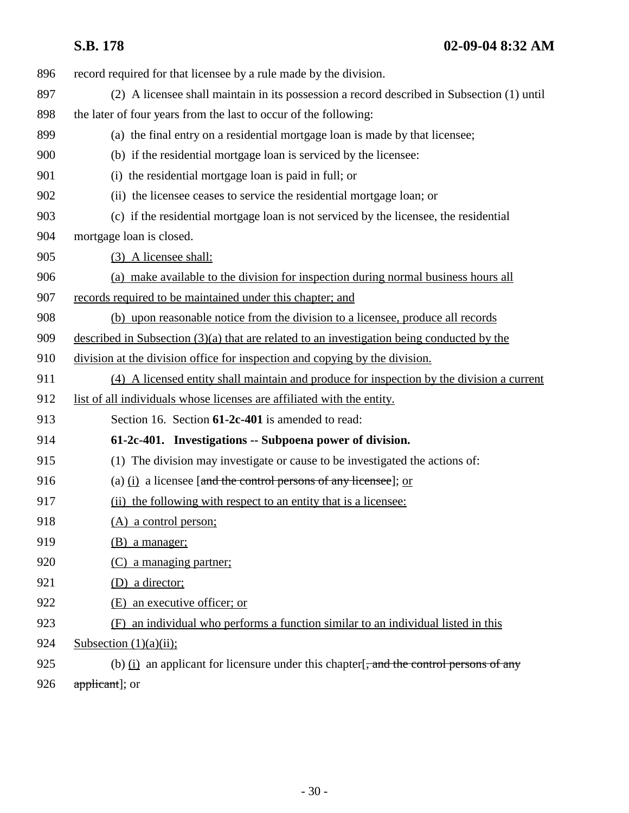| 896 | record required for that licensee by a rule made by the division.                                      |
|-----|--------------------------------------------------------------------------------------------------------|
| 897 | (2) A licensee shall maintain in its possession a record described in Subsection (1) until             |
| 898 | the later of four years from the last to occur of the following:                                       |
| 899 | (a) the final entry on a residential mortgage loan is made by that licensee;                           |
| 900 | (b) if the residential mortgage loan is serviced by the licensee:                                      |
| 901 | (i) the residential mortgage loan is paid in full; or                                                  |
| 902 | (ii) the licensee ceases to service the residential mortgage loan; or                                  |
| 903 | (c) if the residential mortgage loan is not serviced by the licensee, the residential                  |
| 904 | mortgage loan is closed.                                                                               |
| 905 | (3) A licensee shall:                                                                                  |
| 906 | (a) make available to the division for inspection during normal business hours all                     |
| 907 | records required to be maintained under this chapter; and                                              |
| 908 | (b) upon reasonable notice from the division to a licensee, produce all records                        |
| 909 | described in Subsection $(3)(a)$ that are related to an investigation being conducted by the           |
| 910 | division at the division office for inspection and copying by the division.                            |
| 911 | (4) A licensed entity shall maintain and produce for inspection by the division a current              |
| 912 | list of all individuals whose licenses are affiliated with the entity.                                 |
| 913 | Section 16. Section 61-2c-401 is amended to read:                                                      |
| 914 | 61-2c-401. Investigations -- Subpoena power of division.                                               |
| 915 | (1) The division may investigate or cause to be investigated the actions of:                           |
| 916 | (a) $(i)$ a licensee [and the control persons of any licensee]; or                                     |
| 917 | (ii) the following with respect to an entity that is a licensee:                                       |
| 918 | $(A)$ a control person;                                                                                |
| 919 | <u>(B) a manager;</u>                                                                                  |
| 920 | (C) a managing partner;                                                                                |
| 921 | (D) a director;                                                                                        |
| 922 | (E) an executive officer; or                                                                           |
| 923 | an individual who performs a function similar to an individual listed in this<br>(F)                   |
| 924 | Subsection $(1)(a)(ii)$ ;                                                                              |
| 925 | (b) $(i)$ an applicant for licensure under this chapter $\frac{1}{2}$ , and the control persons of any |
| 926 | applicant]; or                                                                                         |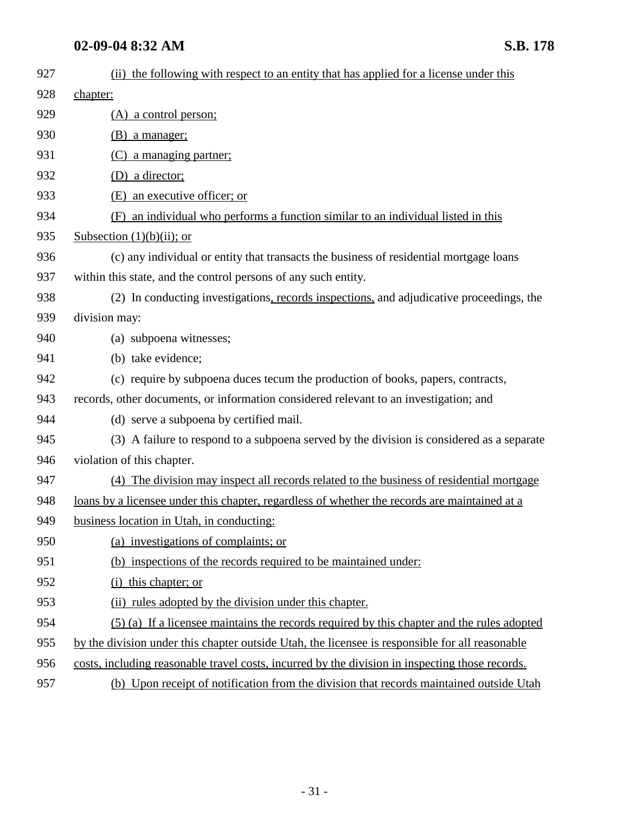| 927 | (ii) the following with respect to an entity that has applied for a license under this          |
|-----|-------------------------------------------------------------------------------------------------|
| 928 | chapter:                                                                                        |
| 929 | $(A)$ a control person;                                                                         |
| 930 | (B) a manager;                                                                                  |
| 931 | (C) a managing partner;                                                                         |
| 932 | (D) a director;                                                                                 |
| 933 | (E) an executive officer; or                                                                    |
| 934 | (F) an individual who performs a function similar to an individual listed in this               |
| 935 | Subsection $(1)(b)(ii)$ ; or                                                                    |
| 936 | (c) any individual or entity that transacts the business of residential mortgage loans          |
| 937 | within this state, and the control persons of any such entity.                                  |
| 938 | (2) In conducting investigations, records inspections, and adjudicative proceedings, the        |
| 939 | division may:                                                                                   |
| 940 | (a) subpoena witnesses;                                                                         |
| 941 | (b) take evidence;                                                                              |
| 942 | (c) require by subpoena duces tecum the production of books, papers, contracts,                 |
| 943 | records, other documents, or information considered relevant to an investigation; and           |
| 944 | (d) serve a subpoena by certified mail.                                                         |
| 945 | (3) A failure to respond to a subpoena served by the division is considered as a separate       |
| 946 | violation of this chapter.                                                                      |
| 947 | (4) The division may inspect all records related to the business of residential mortgage        |
| 948 | loans by a licensee under this chapter, regardless of whether the records are maintained at a   |
| 949 | business location in Utah, in conducting:                                                       |
| 950 | (a) investigations of complaints; or                                                            |
| 951 | (b) inspections of the records required to be maintained under:                                 |
| 952 | (i) this chapter; or                                                                            |
| 953 | (ii) rules adopted by the division under this chapter.                                          |
| 954 | (5) (a) If a licensee maintains the records required by this chapter and the rules adopted      |
| 955 | by the division under this chapter outside Utah, the licensee is responsible for all reasonable |
| 956 | costs, including reasonable travel costs, incurred by the division in inspecting those records. |
| 957 | (b) Upon receipt of notification from the division that records maintained outside Utah         |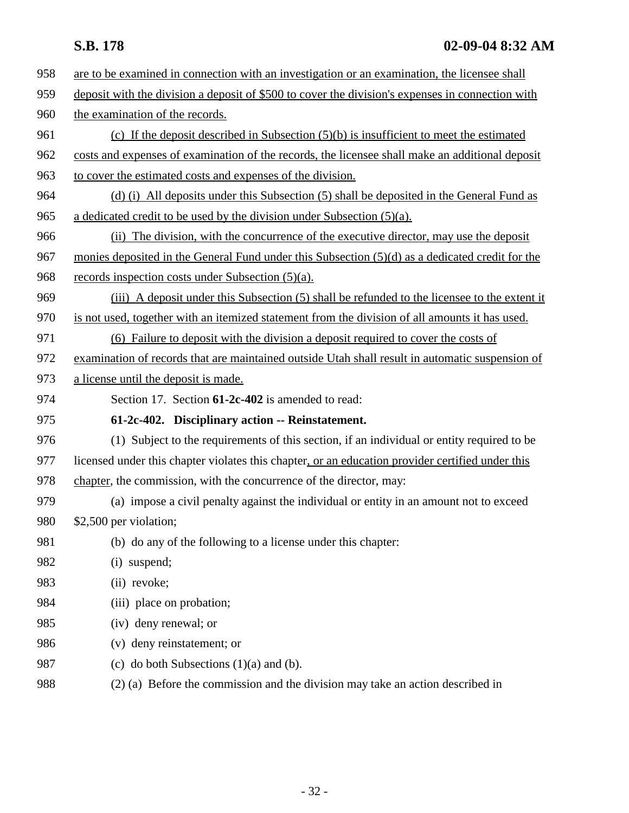| 958 | are to be examined in connection with an investigation or an examination, the licensee shall     |
|-----|--------------------------------------------------------------------------------------------------|
| 959 | deposit with the division a deposit of \$500 to cover the division's expenses in connection with |
| 960 | the examination of the records.                                                                  |
| 961 | (c) If the deposit described in Subsection $(5)(b)$ is insufficient to meet the estimated        |
| 962 | costs and expenses of examination of the records, the licensee shall make an additional deposit  |
| 963 | to cover the estimated costs and expenses of the division.                                       |
| 964 | (d) (i) All deposits under this Subsection (5) shall be deposited in the General Fund as         |
| 965 | a dedicated credit to be used by the division under Subsection $(5)(a)$ .                        |
| 966 | (ii) The division, with the concurrence of the executive director, may use the deposit           |
| 967 | monies deposited in the General Fund under this Subsection (5)(d) as a dedicated credit for the  |
| 968 | records inspection costs under Subsection $(5)(a)$ .                                             |
| 969 | (iii) A deposit under this Subsection (5) shall be refunded to the licensee to the extent it     |
| 970 | is not used, together with an itemized statement from the division of all amounts it has used.   |
| 971 | (6) Failure to deposit with the division a deposit required to cover the costs of                |
| 972 | examination of records that are maintained outside Utah shall result in automatic suspension of  |
| 973 | a license until the deposit is made.                                                             |
| 974 | Section 17. Section 61-2c-402 is amended to read:                                                |
| 975 | 61-2c-402. Disciplinary action -- Reinstatement.                                                 |
| 976 | (1) Subject to the requirements of this section, if an individual or entity required to be       |
| 977 | licensed under this chapter violates this chapter, or an education provider certified under this |
| 978 | chapter, the commission, with the concurrence of the director, may:                              |
| 979 | (a) impose a civil penalty against the individual or entity in an amount not to exceed           |
| 980 | \$2,500 per violation;                                                                           |
| 981 | (b) do any of the following to a license under this chapter:                                     |
| 982 | (i) suspend;                                                                                     |
| 983 | (ii) revoke;                                                                                     |
| 984 | (iii) place on probation;                                                                        |
| 985 | (iv) deny renewal; or                                                                            |
| 986 | (v) deny reinstatement; or                                                                       |
| 987 | (c) do both Subsections $(1)(a)$ and $(b)$ .                                                     |
| 988 | (2) (a) Before the commission and the division may take an action described in                   |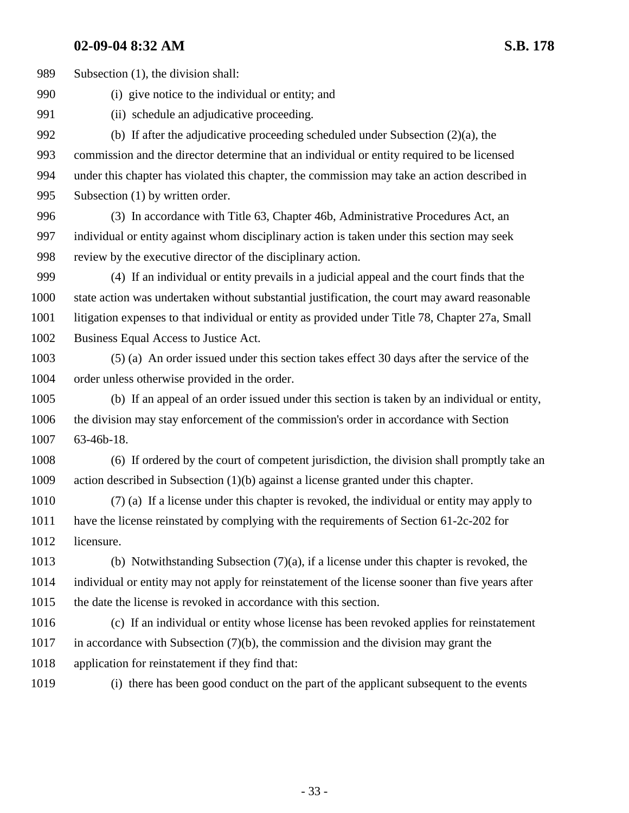989 Subsection (1), the division shall:

990 (i) give notice to the individual or entity; and

991 (ii) schedule an adjudicative proceeding.

992 (b) If after the adjudicative proceeding scheduled under Subsection (2)(a), the 993 commission and the director determine that an individual or entity required to be licensed 994 under this chapter has violated this chapter, the commission may take an action described in 995 Subsection (1) by written order.

996 (3) In accordance with Title 63, Chapter 46b, Administrative Procedures Act, an 997 individual or entity against whom disciplinary action is taken under this section may seek 998 review by the executive director of the disciplinary action.

999 (4) If an individual or entity prevails in a judicial appeal and the court finds that the 1000 state action was undertaken without substantial justification, the court may award reasonable 1001 litigation expenses to that individual or entity as provided under Title 78, Chapter 27a, Small 1002 Business Equal Access to Justice Act.

1003 (5) (a) An order issued under this section takes effect 30 days after the service of the 1004 order unless otherwise provided in the order.

1005 (b) If an appeal of an order issued under this section is taken by an individual or entity, 1006 the division may stay enforcement of the commission's order in accordance with Section 1007 63-46b-18.

1008 (6) If ordered by the court of competent jurisdiction, the division shall promptly take an 1009 action described in Subsection (1)(b) against a license granted under this chapter.

1010 (7) (a) If a license under this chapter is revoked, the individual or entity may apply to 1011 have the license reinstated by complying with the requirements of Section 61-2c-202 for 1012 licensure.

1013 (b) Notwithstanding Subsection (7)(a), if a license under this chapter is revoked, the 1014 individual or entity may not apply for reinstatement of the license sooner than five years after 1015 the date the license is revoked in accordance with this section.

1016 (c) If an individual or entity whose license has been revoked applies for reinstatement 1017 in accordance with Subsection (7)(b), the commission and the division may grant the 1018 application for reinstatement if they find that:

1019 (i) there has been good conduct on the part of the applicant subsequent to the events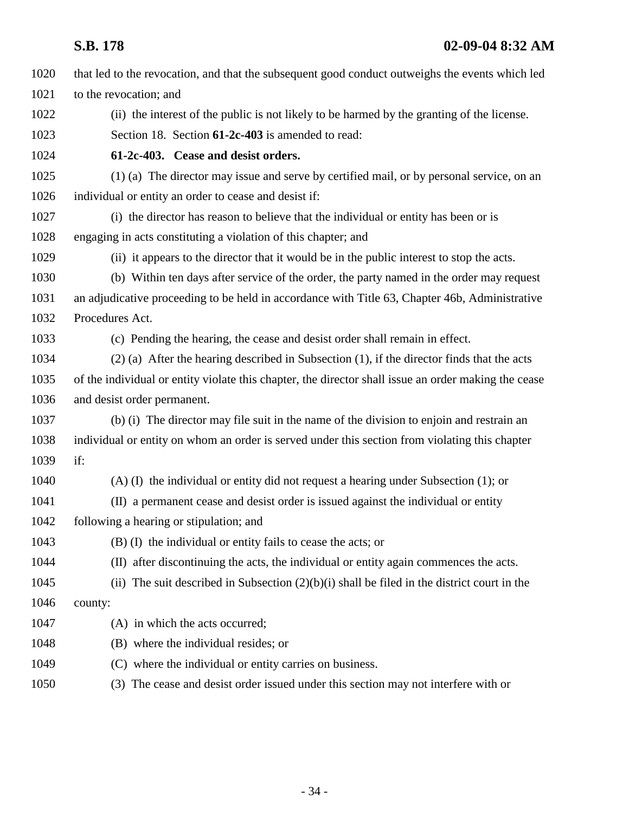| 1020 | that led to the revocation, and that the subsequent good conduct outweighs the events which led      |
|------|------------------------------------------------------------------------------------------------------|
| 1021 | to the revocation; and                                                                               |
| 1022 | (ii) the interest of the public is not likely to be harmed by the granting of the license.           |
| 1023 | Section 18. Section 61-2c-403 is amended to read:                                                    |
| 1024 | 61-2c-403. Cease and desist orders.                                                                  |
| 1025 | (1) (a) The director may issue and serve by certified mail, or by personal service, on an            |
| 1026 | individual or entity an order to cease and desist if:                                                |
| 1027 | (i) the director has reason to believe that the individual or entity has been or is                  |
| 1028 | engaging in acts constituting a violation of this chapter; and                                       |
| 1029 | (ii) it appears to the director that it would be in the public interest to stop the acts.            |
| 1030 | (b) Within ten days after service of the order, the party named in the order may request             |
| 1031 | an adjudicative proceeding to be held in accordance with Title 63, Chapter 46b, Administrative       |
| 1032 | Procedures Act.                                                                                      |
| 1033 | (c) Pending the hearing, the cease and desist order shall remain in effect.                          |
| 1034 | $(2)$ (a) After the hearing described in Subsection (1), if the director finds that the acts         |
| 1035 | of the individual or entity violate this chapter, the director shall issue an order making the cease |
| 1036 | and desist order permanent.                                                                          |
| 1037 | (b) (i) The director may file suit in the name of the division to enjoin and restrain an             |
| 1038 | individual or entity on whom an order is served under this section from violating this chapter       |
| 1039 | if:                                                                                                  |
| 1040 | $(A)$ (I) the individual or entity did not request a hearing under Subsection (1); or                |
| 1041 | (II) a permanent cease and desist order is issued against the individual or entity                   |
| 1042 | following a hearing or stipulation; and                                                              |
| 1043 | (B) (I) the individual or entity fails to cease the acts; or                                         |
| 1044 | (II) after discontinuing the acts, the individual or entity again commences the acts.                |
| 1045 | (ii) The suit described in Subsection $(2)(b)(i)$ shall be filed in the district court in the        |
| 1046 | county:                                                                                              |
| 1047 | (A) in which the acts occurred;                                                                      |
| 1048 | (B) where the individual resides; or                                                                 |
| 1049 | (C) where the individual or entity carries on business.                                              |
| 1050 | The cease and desist order issued under this section may not interfere with or<br>(3)                |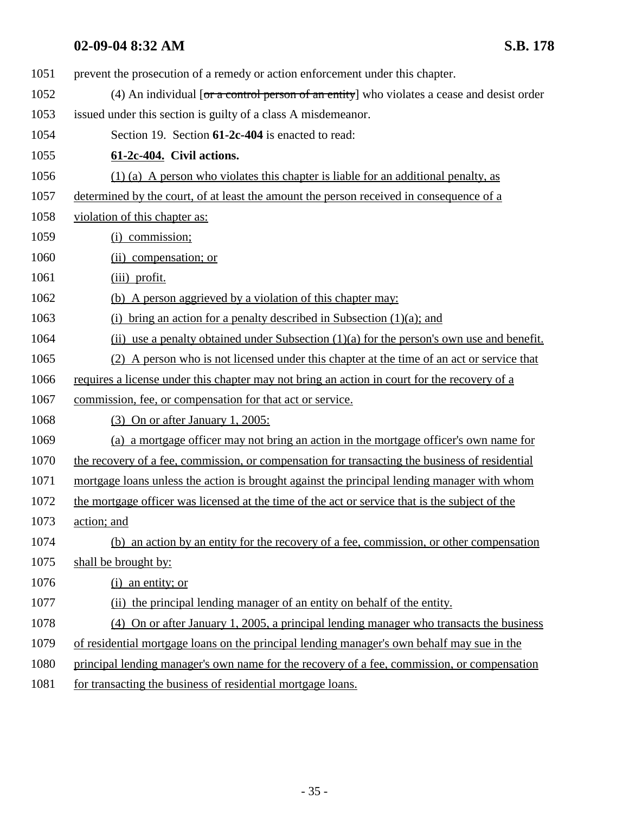| 1051 | prevent the prosecution of a remedy or action enforcement under this chapter.                  |
|------|------------------------------------------------------------------------------------------------|
| 1052 | (4) An individual [or a control person of an entity] who violates a cease and desist order     |
| 1053 | issued under this section is guilty of a class A misdemeanor.                                  |
| 1054 | Section 19. Section 61-2c-404 is enacted to read:                                              |
| 1055 | 61-2c-404. Civil actions.                                                                      |
| 1056 | $(1)$ (a) A person who violates this chapter is liable for an additional penalty, as           |
| 1057 | determined by the court, of at least the amount the person received in consequence of a        |
| 1058 | violation of this chapter as:                                                                  |
| 1059 | (i) commission;                                                                                |
| 1060 | (ii) compensation; or                                                                          |
| 1061 | (iii) profit.                                                                                  |
| 1062 | (b) A person aggrieved by a violation of this chapter may:                                     |
| 1063 | bring an action for a penalty described in Subsection $(1)(a)$ ; and<br>(i)                    |
| 1064 | (ii) use a penalty obtained under Subsection $(1)(a)$ for the person's own use and benefit.    |
| 1065 | A person who is not licensed under this chapter at the time of an act or service that<br>(2)   |
| 1066 | requires a license under this chapter may not bring an action in court for the recovery of a   |
| 1067 | commission, fee, or compensation for that act or service.                                      |
| 1068 | $(3)$ On or after January 1, 2005:                                                             |
| 1069 | (a) a mortgage officer may not bring an action in the mortgage officer's own name for          |
| 1070 | the recovery of a fee, commission, or compensation for transacting the business of residential |
| 1071 | mortgage loans unless the action is brought against the principal lending manager with whom    |
| 1072 | the mortgage officer was licensed at the time of the act or service that is the subject of the |
| 1073 | action; and                                                                                    |
| 1074 | (b) an action by an entity for the recovery of a fee, commission, or other compensation        |
| 1075 | shall be brought by:                                                                           |
| 1076 | $(i)$ an entity; or                                                                            |
| 1077 | (ii) the principal lending manager of an entity on behalf of the entity.                       |
| 1078 | (4) On or after January 1, 2005, a principal lending manager who transacts the business        |
| 1079 | of residential mortgage loans on the principal lending manager's own behalf may sue in the     |
| 1080 | principal lending manager's own name for the recovery of a fee, commission, or compensation    |
| 1081 | for transacting the business of residential mortgage loans.                                    |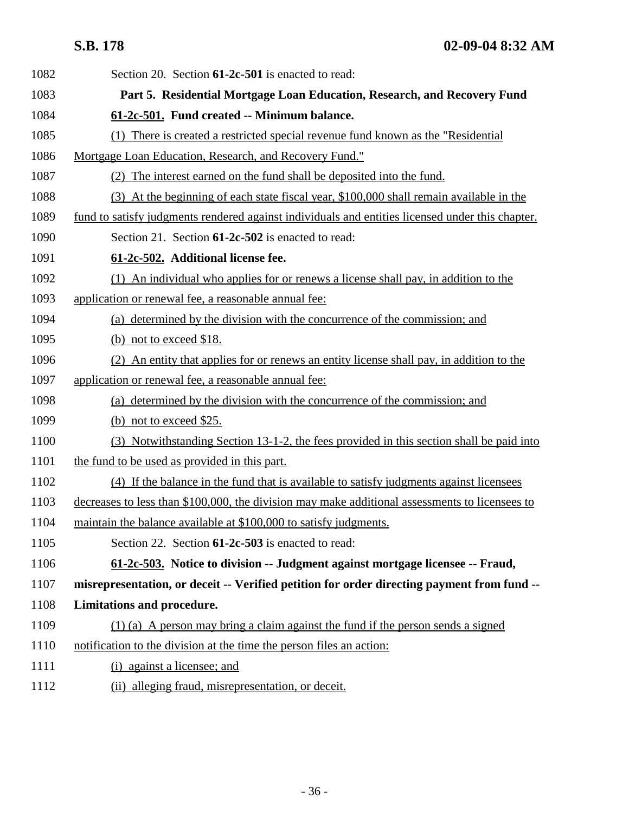| 1082 | Section 20. Section 61-2c-501 is enacted to read:                                                |
|------|--------------------------------------------------------------------------------------------------|
| 1083 | Part 5. Residential Mortgage Loan Education, Research, and Recovery Fund                         |
| 1084 | 61-2c-501. Fund created -- Minimum balance.                                                      |
| 1085 | (1) There is created a restricted special revenue fund known as the "Residential"                |
| 1086 | Mortgage Loan Education, Research, and Recovery Fund."                                           |
| 1087 | (2) The interest earned on the fund shall be deposited into the fund.                            |
| 1088 | (3) At the beginning of each state fiscal year, \$100,000 shall remain available in the          |
| 1089 | fund to satisfy judgments rendered against individuals and entities licensed under this chapter. |
| 1090 | Section 21. Section 61-2c-502 is enacted to read:                                                |
| 1091 | 61-2c-502. Additional license fee.                                                               |
| 1092 | (1) An individual who applies for or renews a license shall pay, in addition to the              |
| 1093 | application or renewal fee, a reasonable annual fee:                                             |
| 1094 | (a) determined by the division with the concurrence of the commission; and                       |
| 1095 | (b) not to exceed \$18.                                                                          |
| 1096 | (2) An entity that applies for or renews an entity license shall pay, in addition to the         |
| 1097 | application or renewal fee, a reasonable annual fee:                                             |
| 1098 | (a) determined by the division with the concurrence of the commission; and                       |
| 1099 | (b) not to exceed $$25.$                                                                         |
| 1100 | (3) Notwithstanding Section 13-1-2, the fees provided in this section shall be paid into         |
| 1101 | the fund to be used as provided in this part.                                                    |
| 1102 | (4) If the balance in the fund that is available to satisfy judgments against licensees          |
| 1103 | decreases to less than \$100,000, the division may make additional assessments to licensees to   |
| 1104 | maintain the balance available at \$100,000 to satisfy judgments.                                |
| 1105 | Section 22. Section 61-2c-503 is enacted to read:                                                |
| 1106 | 61-2c-503. Notice to division -- Judgment against mortgage licensee -- Fraud,                    |
| 1107 | misrepresentation, or deceit -- Verified petition for order directing payment from fund --       |
| 1108 | Limitations and procedure.                                                                       |
| 1109 | (1) (a) A person may bring a claim against the fund if the person sends a signed                 |
| 1110 | notification to the division at the time the person files an action:                             |
| 1111 | (i) against a licensee; and                                                                      |
| 1112 | (ii) alleging fraud, misrepresentation, or deceit.                                               |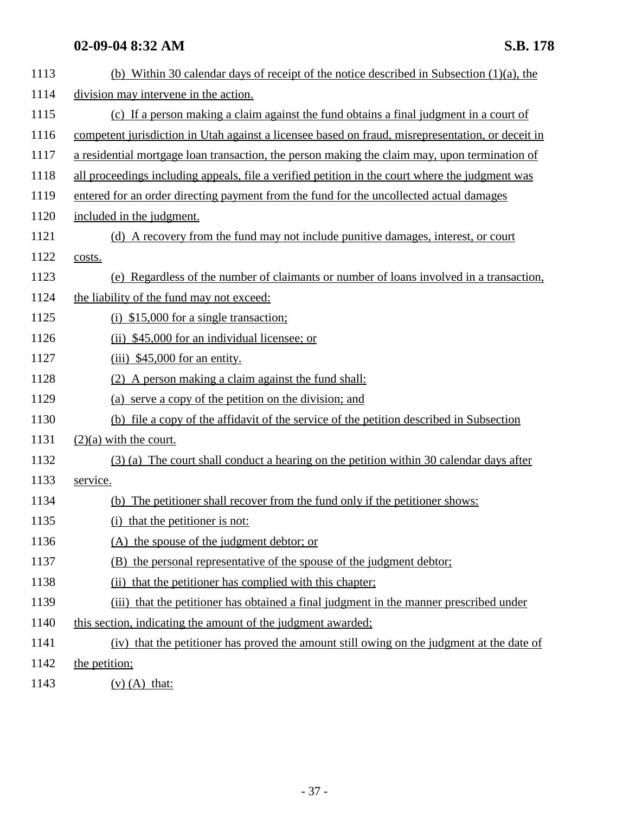| 1113 | (b) Within 30 calendar days of receipt of the notice described in Subsection $(1)(a)$ , the       |
|------|---------------------------------------------------------------------------------------------------|
| 1114 | division may intervene in the action.                                                             |
| 1115 | (c) If a person making a claim against the fund obtains a final judgment in a court of            |
| 1116 | competent jurisdiction in Utah against a licensee based on fraud, misrepresentation, or deceit in |
| 1117 | a residential mortgage loan transaction, the person making the claim may, upon termination of     |
| 1118 | all proceedings including appeals, file a verified petition in the court where the judgment was   |
| 1119 | entered for an order directing payment from the fund for the uncollected actual damages           |
| 1120 | included in the judgment.                                                                         |
| 1121 | (d) A recovery from the fund may not include punitive damages, interest, or court                 |
| 1122 | costs.                                                                                            |
| 1123 | (e) Regardless of the number of claimants or number of loans involved in a transaction,           |
| 1124 | the liability of the fund may not exceed:                                                         |
| 1125 | $(i)$ \$15,000 for a single transaction;                                                          |
| 1126 | (ii) \$45,000 for an individual licensee; or                                                      |
| 1127 | $(iii)$ \$45,000 for an entity.                                                                   |
| 1128 | (2) A person making a claim against the fund shall:                                               |
| 1129 | (a) serve a copy of the petition on the division; and                                             |
| 1130 | (b) file a copy of the affidavit of the service of the petition described in Subsection           |
| 1131 | $(2)(a)$ with the court.                                                                          |
| 1132 | (3) (a) The court shall conduct a hearing on the petition within 30 calendar days after           |
| 1133 | service.                                                                                          |
| 1134 | (b) The petitioner shall recover from the fund only if the petitioner shows:                      |
| 1135 | (i) that the petitioner is not:                                                                   |
| 1136 | (A) the spouse of the judgment debtor; or                                                         |
| 1137 | (B) the personal representative of the spouse of the judgment debtor;                             |
| 1138 | that the petitioner has complied with this chapter;<br>(ii)                                       |
| 1139 | (iii) that the petitioner has obtained a final judgment in the manner prescribed under            |
| 1140 | this section, indicating the amount of the judgment awarded;                                      |
| 1141 | (iv) that the petitioner has proved the amount still owing on the judgment at the date of         |
| 1142 | the petition;                                                                                     |
|      |                                                                                                   |

1143 (v) (A) that: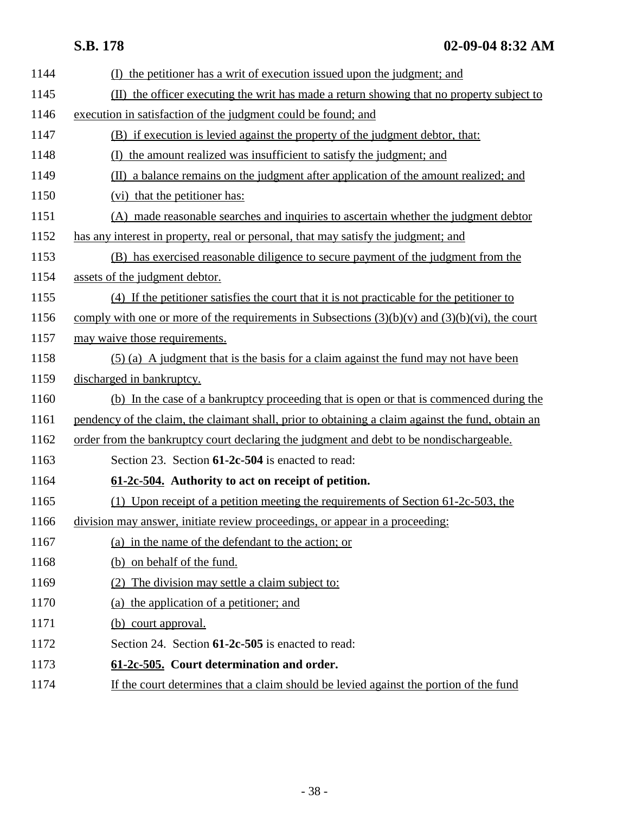| 1144 | (I) the petitioner has a writ of execution issued upon the judgment; and                            |
|------|-----------------------------------------------------------------------------------------------------|
| 1145 | (II) the officer executing the writ has made a return showing that no property subject to           |
| 1146 | execution in satisfaction of the judgment could be found; and                                       |
| 1147 | (B) if execution is levied against the property of the judgment debtor, that:                       |
| 1148 | the amount realized was insufficient to satisfy the judgment; and<br>(I)                            |
| 1149 | (II) a balance remains on the judgment after application of the amount realized; and                |
| 1150 | (vi) that the petitioner has:                                                                       |
| 1151 | (A) made reasonable searches and inquiries to ascertain whether the judgment debtor                 |
| 1152 | has any interest in property, real or personal, that may satisfy the judgment; and                  |
| 1153 | (B) has exercised reasonable diligence to secure payment of the judgment from the                   |
| 1154 | assets of the judgment debtor.                                                                      |
| 1155 | (4) If the petitioner satisfies the court that it is not practicable for the petitioner to          |
| 1156 | comply with one or more of the requirements in Subsections $(3)(b)(v)$ and $(3)(b)(vi)$ , the court |
| 1157 | may waive those requirements.                                                                       |
| 1158 | (5) (a) A judgment that is the basis for a claim against the fund may not have been                 |
| 1159 | discharged in bankruptcy.                                                                           |
| 1160 | (b) In the case of a bankruptcy proceeding that is open or that is commenced during the             |
| 1161 | pendency of the claim, the claimant shall, prior to obtaining a claim against the fund, obtain an   |
| 1162 | <u>order from the bankruptcy court declaring the judgment and debt to be nondischargeable.</u>      |
| 1163 | Section 23. Section 61-2c-504 is enacted to read:                                                   |
| 1164 | 61-2c-504. Authority to act on receipt of petition.                                                 |
| 1165 | (1) Upon receipt of a petition meeting the requirements of Section $61-2c-503$ , the                |
| 1166 | division may answer, initiate review proceedings, or appear in a proceeding:                        |
| 1167 | (a) in the name of the defendant to the action; or                                                  |
| 1168 | (b) on behalf of the fund.                                                                          |
| 1169 | (2) The division may settle a claim subject to:                                                     |
| 1170 | (a) the application of a petitioner; and                                                            |
| 1171 | (b) court approval.                                                                                 |
| 1172 | Section 24. Section 61-2c-505 is enacted to read:                                                   |
| 1173 | 61-2c-505. Court determination and order.                                                           |
| 1174 | If the court determines that a claim should be levied against the portion of the fund               |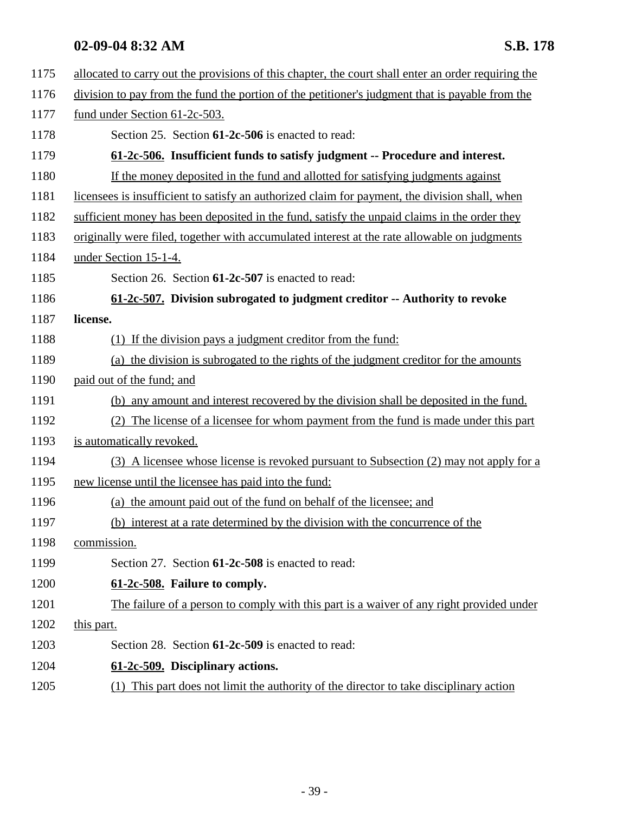| 1175 | allocated to carry out the provisions of this chapter, the court shall enter an order requiring the |
|------|-----------------------------------------------------------------------------------------------------|
| 1176 | division to pay from the fund the portion of the petitioner's judgment that is payable from the     |
| 1177 | fund under Section 61-2c-503.                                                                       |
| 1178 | Section 25. Section 61-2c-506 is enacted to read:                                                   |
| 1179 | 61-2c-506. Insufficient funds to satisfy judgment -- Procedure and interest.                        |
| 1180 | If the money deposited in the fund and allotted for satisfying judgments against                    |
| 1181 | licensees is insufficient to satisfy an authorized claim for payment, the division shall, when      |
| 1182 | sufficient money has been deposited in the fund, satisfy the unpaid claims in the order they        |
| 1183 | originally were filed, together with accumulated interest at the rate allowable on judgments        |
| 1184 | under Section 15-1-4.                                                                               |
| 1185 | Section 26. Section 61-2c-507 is enacted to read:                                                   |
| 1186 | 61-2c-507. Division subrogated to judgment creditor -- Authority to revoke                          |
| 1187 | license.                                                                                            |
| 1188 | (1) If the division pays a judgment creditor from the fund:                                         |
| 1189 | (a) the division is subrogated to the rights of the judgment creditor for the amounts               |
| 1190 | paid out of the fund; and                                                                           |
| 1191 | (b) any amount and interest recovered by the division shall be deposited in the fund.               |
| 1192 | The license of a licensee for whom payment from the fund is made under this part<br>(2)             |
| 1193 | is automatically revoked.                                                                           |
| 1194 | (3) A licensee whose license is revoked pursuant to Subsection (2) may not apply for a              |
| 1195 | new license until the licensee has paid into the fund:                                              |
| 1196 | (a) the amount paid out of the fund on behalf of the licensee; and                                  |
| 1197 | (b) interest at a rate determined by the division with the concurrence of the                       |
| 1198 | commission.                                                                                         |
| 1199 | Section 27. Section 61-2c-508 is enacted to read:                                                   |
| 1200 | 61-2c-508. Failure to comply.                                                                       |
| 1201 | The failure of a person to comply with this part is a waiver of any right provided under            |
| 1202 | this part.                                                                                          |
| 1203 | Section 28. Section 61-2c-509 is enacted to read:                                                   |
| 1204 | 61-2c-509. Disciplinary actions.                                                                    |
| 1205 | This part does not limit the authority of the director to take disciplinary action<br>(1)           |
|      |                                                                                                     |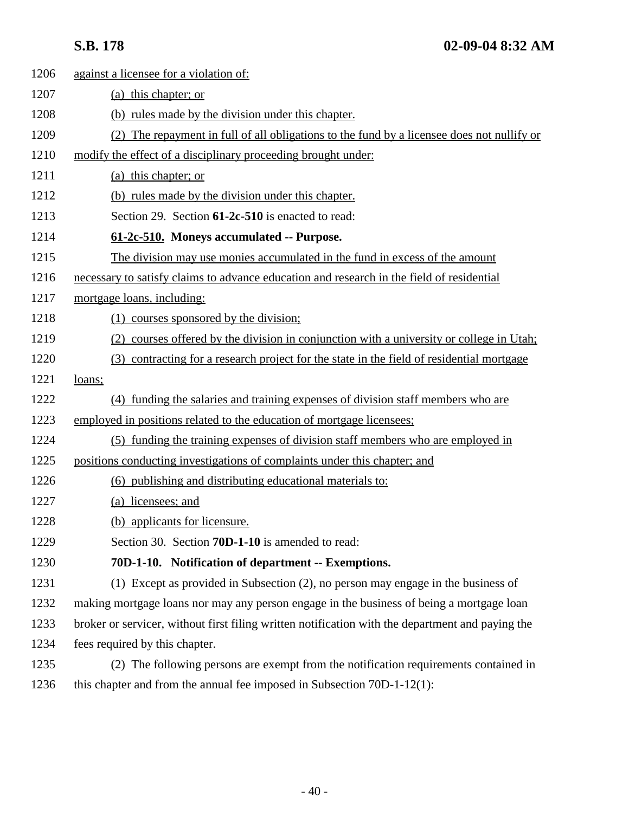| 1206 | against a licensee for a violation of:                                                           |
|------|--------------------------------------------------------------------------------------------------|
| 1207 | (a) this chapter; or                                                                             |
| 1208 | (b) rules made by the division under this chapter.                                               |
| 1209 | (2) The repayment in full of all obligations to the fund by a licensee does not nullify or       |
| 1210 | modify the effect of a disciplinary proceeding brought under:                                    |
| 1211 | (a) this chapter; or                                                                             |
| 1212 | (b) rules made by the division under this chapter.                                               |
| 1213 | Section 29. Section 61-2c-510 is enacted to read:                                                |
| 1214 | 61-2c-510. Moneys accumulated -- Purpose.                                                        |
| 1215 | The division may use monies accumulated in the fund in excess of the amount                      |
| 1216 | necessary to satisfy claims to advance education and research in the field of residential        |
| 1217 | mortgage loans, including:                                                                       |
| 1218 | (1) courses sponsored by the division;                                                           |
| 1219 | courses offered by the division in conjunction with a university or college in Utah;<br>(2)      |
| 1220 | (3) contracting for a research project for the state in the field of residential mortgage        |
| 1221 | loans;                                                                                           |
| 1222 | (4) funding the salaries and training expenses of division staff members who are                 |
| 1223 | employed in positions related to the education of mortgage licensees;                            |
| 1224 | (5) funding the training expenses of division staff members who are employed in                  |
| 1225 | positions conducting investigations of complaints under this chapter; and                        |
| 1226 | (6) publishing and distributing educational materials to:                                        |
| 1227 | (a) licensees; and                                                                               |
| 1228 | (b) applicants for licensure.                                                                    |
| 1229 | Section 30. Section 70D-1-10 is amended to read:                                                 |
| 1230 | 70D-1-10. Notification of department -- Exemptions.                                              |
| 1231 | (1) Except as provided in Subsection (2), no person may engage in the business of                |
| 1232 | making mortgage loans nor may any person engage in the business of being a mortgage loan         |
| 1233 | broker or servicer, without first filing written notification with the department and paying the |
| 1234 | fees required by this chapter.                                                                   |
| 1235 | (2) The following persons are exempt from the notification requirements contained in             |
| 1236 | this chapter and from the annual fee imposed in Subsection 70D-1-12(1):                          |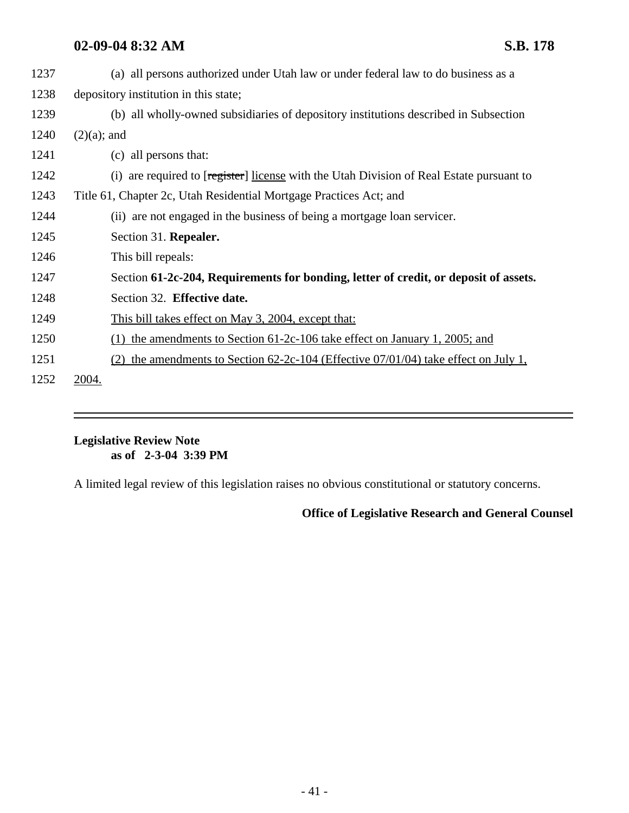| 1237 | (a) all persons authorized under Utah law or under federal law to do business as a          |
|------|---------------------------------------------------------------------------------------------|
| 1238 | depository institution in this state;                                                       |
| 1239 | (b) all wholly-owned subsidiaries of depository institutions described in Subsection        |
| 1240 | $(2)(a)$ ; and                                                                              |
| 1241 | (c) all persons that:                                                                       |
| 1242 | (i) are required to [register] license with the Utah Division of Real Estate pursuant to    |
| 1243 | Title 61, Chapter 2c, Utah Residential Mortgage Practices Act; and                          |
| 1244 | (ii) are not engaged in the business of being a mortgage loan servicer.                     |
| 1245 | Section 31. Repealer.                                                                       |
| 1246 | This bill repeals:                                                                          |
| 1247 | Section 61-2c-204, Requirements for bonding, letter of credit, or deposit of assets.        |
| 1248 | Section 32. Effective date.                                                                 |
| 1249 | <u>This bill takes effect on May 3, 2004, except that:</u>                                  |
| 1250 | the amendments to Section 61-2c-106 take effect on January 1, 2005; and<br>(1)              |
| 1251 | the amendments to Section $62-2c-104$ (Effective $07/01/04$ ) take effect on July 1,<br>(2) |
| 1252 | 2004.                                                                                       |

### **Legislative Review Note as of 2-3-04 3:39 PM**

A limited legal review of this legislation raises no obvious constitutional or statutory concerns.

**Office of Legislative Research and General Counsel**